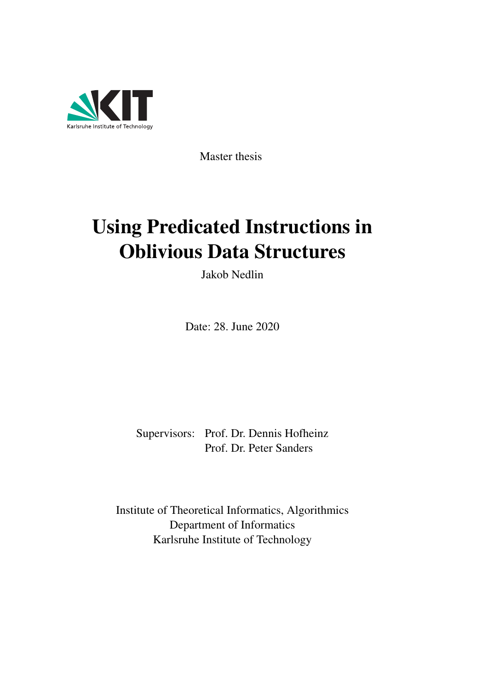

Master thesis

# Using Predicated Instructions in Oblivious Data Structures

Jakob Nedlin

Date: 28. June 2020

Supervisors: Prof. Dr. Dennis Hofheinz Prof. Dr. Peter Sanders

Institute of Theoretical Informatics, Algorithmics Department of Informatics Karlsruhe Institute of Technology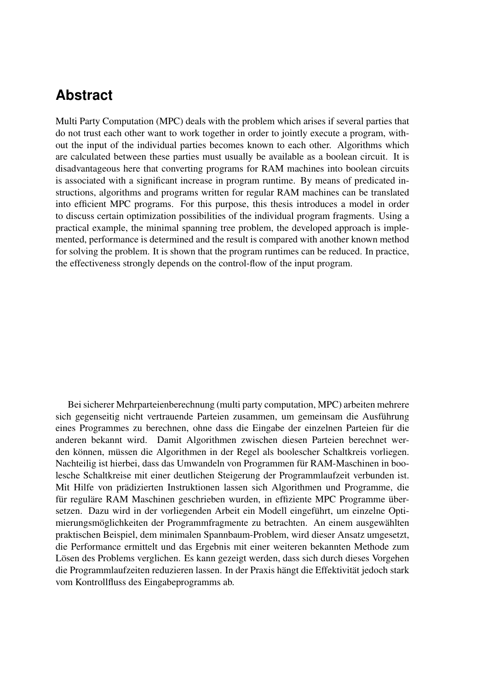### <span id="page-2-0"></span>**Abstract**

Multi Party Computation (MPC) deals with the problem which arises if several parties that do not trust each other want to work together in order to jointly execute a program, without the input of the individual parties becomes known to each other. Algorithms which are calculated between these parties must usually be available as a boolean circuit. It is disadvantageous here that converting programs for RAM machines into boolean circuits is associated with a significant increase in program runtime. By means of predicated instructions, algorithms and programs written for regular RAM machines can be translated into efficient MPC programs. For this purpose, this thesis introduces a model in order to discuss certain optimization possibilities of the individual program fragments. Using a practical example, the minimal spanning tree problem, the developed approach is implemented, performance is determined and the result is compared with another known method for solving the problem. It is shown that the program runtimes can be reduced. In practice, the effectiveness strongly depends on the control-flow of the input program.

Bei sicherer Mehrparteienberechnung (multi party computation, MPC) arbeiten mehrere sich gegenseitig nicht vertrauende Parteien zusammen, um gemeinsam die Ausführung eines Programmes zu berechnen, ohne dass die Eingabe der einzelnen Parteien für die anderen bekannt wird. Damit Algorithmen zwischen diesen Parteien berechnet werden können, müssen die Algorithmen in der Regel als boolescher Schaltkreis vorliegen. Nachteilig ist hierbei, dass das Umwandeln von Programmen für RAM-Maschinen in boolesche Schaltkreise mit einer deutlichen Steigerung der Programmlaufzeit verbunden ist. Mit Hilfe von prädizierten Instruktionen lassen sich Algorithmen und Programme, die für reguläre RAM Maschinen geschrieben wurden, in effiziente MPC Programme übersetzen. Dazu wird in der vorliegenden Arbeit ein Modell eingeführt, um einzelne Optimierungsmöglichkeiten der Programmfragmente zu betrachten. An einem ausgewählten praktischen Beispiel, dem minimalen Spannbaum-Problem, wird dieser Ansatz umgesetzt, die Performance ermittelt und das Ergebnis mit einer weiteren bekannten Methode zum Lösen des Problems verglichen. Es kann gezeigt werden, dass sich durch dieses Vorgehen die Programmlaufzeiten reduzieren lassen. In der Praxis hängt die Effektivität jedoch stark vom Kontrollfluss des Eingabeprogramms ab.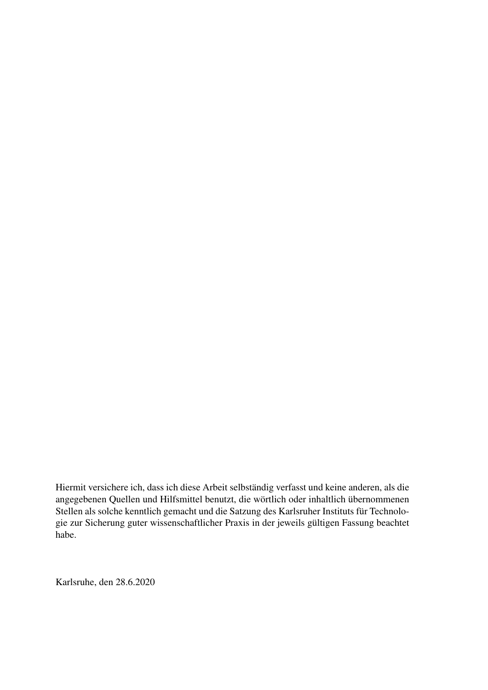Hiermit versichere ich, dass ich diese Arbeit selbständig verfasst und keine anderen, als die angegebenen Quellen und Hilfsmittel benutzt, die wörtlich oder inhaltlich übernommenen Stellen als solche kenntlich gemacht und die Satzung des Karlsruher Instituts für Technologie zur Sicherung guter wissenschaftlicher Praxis in der jeweils gültigen Fassung beachtet habe.

Karlsruhe, den 28.6.2020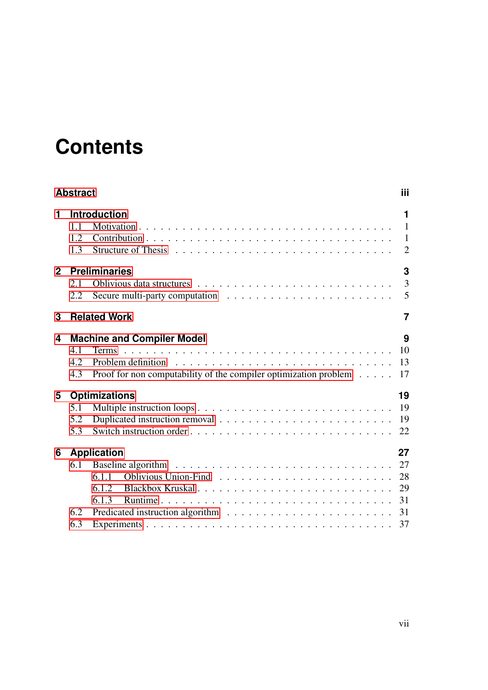# **Contents**

|                | <b>Abstract</b><br>iij            |                                                                            |                |  |  |  |
|----------------|-----------------------------------|----------------------------------------------------------------------------|----------------|--|--|--|
| 1.             |                                   | <b>Introduction</b>                                                        | 1              |  |  |  |
|                | 1.1                               |                                                                            | $\overline{1}$ |  |  |  |
|                | 1.2                               |                                                                            | $\mathbf{1}$   |  |  |  |
|                | 1.3                               |                                                                            | 2              |  |  |  |
| $\overline{2}$ |                                   | <b>Preliminaries</b>                                                       | 3              |  |  |  |
|                | 2.1                               |                                                                            | $\overline{3}$ |  |  |  |
|                | $2.2^{\circ}$                     |                                                                            | 5              |  |  |  |
| 3              |                                   | <b>Related Work</b>                                                        | $\overline{7}$ |  |  |  |
| 4              | <b>Machine and Compiler Model</b> |                                                                            |                |  |  |  |
|                | 4.1                               |                                                                            | 10             |  |  |  |
|                | 4.2                               |                                                                            | 13             |  |  |  |
|                | 4.3                               | Proof for non computability of the compiler optimization problem $\dots$ . | 17             |  |  |  |
| 5              | <b>Optimizations</b><br>19        |                                                                            |                |  |  |  |
|                | 5.1                               |                                                                            | 19             |  |  |  |
|                | 5.2                               |                                                                            | 19             |  |  |  |
|                | 5.3                               |                                                                            |                |  |  |  |
| 6              | <b>Application</b><br>27          |                                                                            |                |  |  |  |
|                | 6.1                               |                                                                            | 27             |  |  |  |
|                |                                   | 6.1.1                                                                      | 28             |  |  |  |
|                |                                   | Blackbox Kruskal<br>6.1.2                                                  | 29             |  |  |  |
|                |                                   | 6.1.3                                                                      |                |  |  |  |
|                | 6.2                               |                                                                            |                |  |  |  |
|                | 6.3                               |                                                                            | 37             |  |  |  |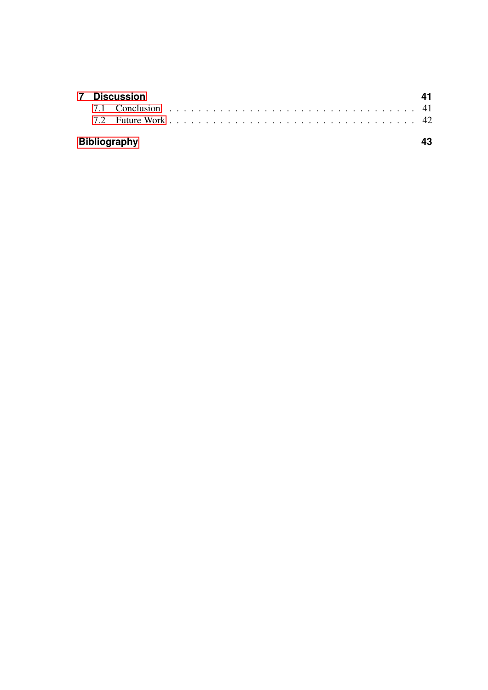| <b>7</b> Discussion |                     |  |  |
|---------------------|---------------------|--|--|
|                     |                     |  |  |
|                     |                     |  |  |
|                     | <b>Bibliography</b> |  |  |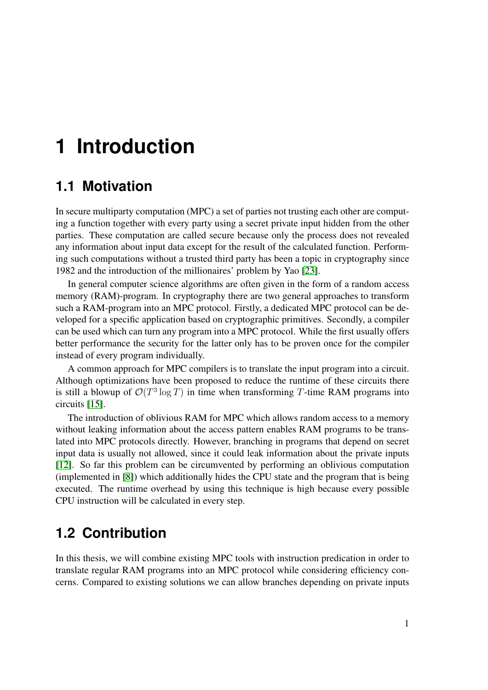# <span id="page-8-0"></span>**1 Introduction**

### <span id="page-8-1"></span>**1.1 Motivation**

In secure multiparty computation (MPC) a set of parties not trusting each other are computing a function together with every party using a secret private input hidden from the other parties. These computation are called secure because only the process does not revealed any information about input data except for the result of the calculated function. Performing such computations without a trusted third party has been a topic in cryptography since 1982 and the introduction of the millionaires' problem by Yao [\[23\]](#page-51-0).

In general computer science algorithms are often given in the form of a random access memory (RAM)-program. In cryptography there are two general approaches to transform such a RAM-program into an MPC protocol. Firstly, a dedicated MPC protocol can be developed for a specific application based on cryptographic primitives. Secondly, a compiler can be used which can turn any program into a MPC protocol. While the first usually offers better performance the security for the latter only has to be proven once for the compiler instead of every program individually.

A common approach for MPC compilers is to translate the input program into a circuit. Although optimizations have been proposed to reduce the runtime of these circuits there is still a blowup of  $\mathcal{O}(T^3 \log T)$  in time when transforming T-time RAM programs into circuits [\[15\]](#page-51-1).

The introduction of oblivious RAM for MPC which allows random access to a memory without leaking information about the access pattern enables RAM programs to be translated into MPC protocols directly. However, branching in programs that depend on secret input data is usually not allowed, since it could leak information about the private inputs [\[12\]](#page-50-1). So far this problem can be circumvented by performing an oblivious computation (implemented in [\[8\]](#page-50-2)) which additionally hides the CPU state and the program that is being executed. The runtime overhead by using this technique is high because every possible CPU instruction will be calculated in every step.

### <span id="page-8-2"></span>**1.2 Contribution**

In this thesis, we will combine existing MPC tools with instruction predication in order to translate regular RAM programs into an MPC protocol while considering efficiency concerns. Compared to existing solutions we can allow branches depending on private inputs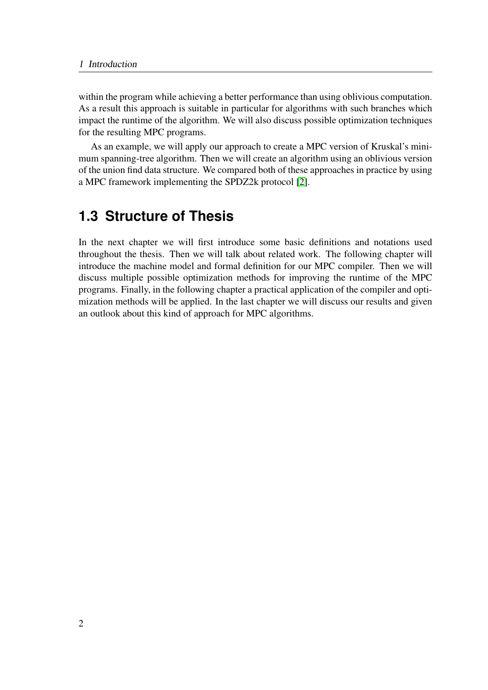within the program while achieving a better performance than using oblivious computation. As a result this approach is suitable in particular for algorithms with such branches which impact the runtime of the algorithm. We will also discuss possible optimization techniques for the resulting MPC programs.

As an example, we will apply our approach to create a MPC version of Kruskal's minimum spanning-tree algorithm. Then we will create an algorithm using an oblivious version of the union find data structure. We compared both of these approaches in practice by using a MPC framework implementing the SPDZ2k protocol [\[2\]](#page-50-3).

### <span id="page-9-0"></span>**1.3 Structure of Thesis**

In the next chapter we will first introduce some basic definitions and notations used throughout the thesis. Then we will talk about related work. The following chapter will introduce the machine model and formal definition for our MPC compiler. Then we will discuss multiple possible optimization methods for improving the runtime of the MPC programs. Finally, in the following chapter a practical application of the compiler and optimization methods will be applied. In the last chapter we will discuss our results and given an outlook about this kind of approach for MPC algorithms.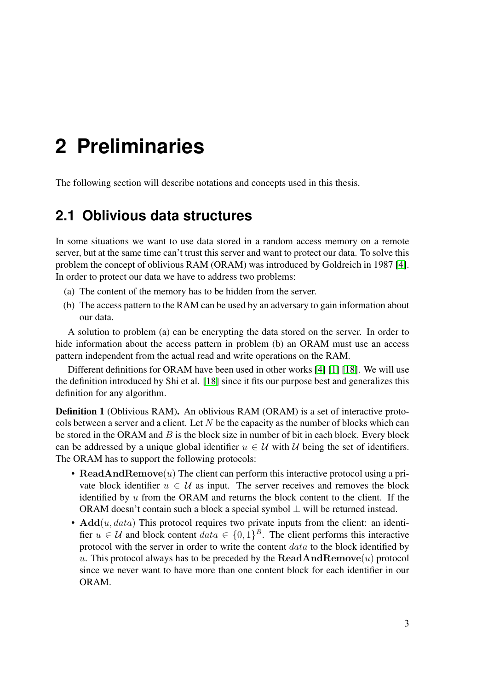## <span id="page-10-0"></span>**2 Preliminaries**

The following section will describe notations and concepts used in this thesis.

#### <span id="page-10-1"></span>**2.1 Oblivious data structures**

In some situations we want to use data stored in a random access memory on a remote server, but at the same time can't trust this server and want to protect our data. To solve this problem the concept of oblivious RAM (ORAM) was introduced by Goldreich in 1987 [\[4\]](#page-50-4). In order to protect our data we have to address two problems:

- (a) The content of the memory has to be hidden from the server.
- (b) The access pattern to the RAM can be used by an adversary to gain information about our data.

A solution to problem (a) can be encrypting the data stored on the server. In order to hide information about the access pattern in problem (b) an ORAM must use an access pattern independent from the actual read and write operations on the RAM.

Different definitions for ORAM have been used in other works [\[4\]](#page-50-4) [\[1\]](#page-50-5) [\[18\]](#page-51-2). We will use the definition introduced by Shi et al. [\[18\]](#page-51-2) since it fits our purpose best and generalizes this definition for any algorithm.

<span id="page-10-2"></span>Definition 1 (Oblivious RAM). An oblivious RAM (ORAM) is a set of interactive protocols between a server and a client. Let  $N$  be the capacity as the number of blocks which can be stored in the ORAM and  $B$  is the block size in number of bit in each block. Every block can be addressed by a unique global identifier  $u \in \mathcal{U}$  with  $\mathcal{U}$  being the set of identifiers. The ORAM has to support the following protocols:

- ReadAndRemove $(u)$  The client can perform this interactive protocol using a private block identifier  $u \in \mathcal{U}$  as input. The server receives and removes the block identified by  $u$  from the ORAM and returns the block content to the client. If the ORAM doesn't contain such a block a special symbol  $\perp$  will be returned instead.
- $\text{Add}(u, data)$  This protocol requires two private inputs from the client: an identifier  $u \in \mathcal{U}$  and block content  $data \in \{0,1\}^B$ . The client performs this interactive protocol with the server in order to write the content *data* to the block identified by u. This protocol always has to be preceded by the  $\textbf{ReadAndRemove}(u)$  protocol since we never want to have more than one content block for each identifier in our ORAM.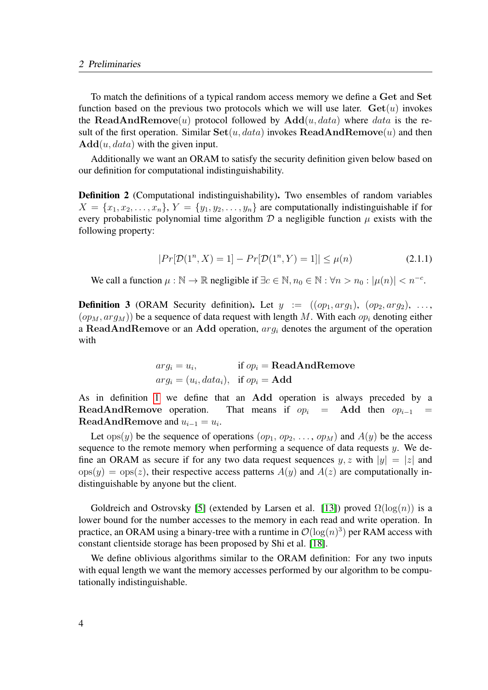To match the definitions of a typical random access memory we define a Get and Set function based on the previous two protocols which we will use later.  $\text{Get}(u)$  invokes the ReadAndRemove(u) protocol followed by Add(u,  $data$ ) where  $data$  is the result of the first operation. Similar  $Set(u, data)$  invokes  $ReadAndRemove(u)$  and then  $Add(u, data)$  with the given input.

Additionally we want an ORAM to satisfy the security definition given below based on our definition for computational indistinguishability.

Definition 2 (Computational indistinguishability). Two ensembles of random variables  $X = \{x_1, x_2, \ldots, x_n\}, Y = \{y_1, y_2, \ldots, y_n\}$  are computationally indistinguishable if for every probabilistic polynomial time algorithm  $D$  a negligible function  $\mu$  exists with the following property:

$$
|Pr[\mathcal{D}(1^n, X) = 1] - Pr[\mathcal{D}(1^n, Y) = 1]| \le \mu(n)
$$
\n(2.1.1)

We call a function  $\mu : \mathbb{N} \to \mathbb{R}$  negligible if  $\exists c \in \mathbb{N}, n_0 \in \mathbb{N} : \forall n > n_0 : |\mu(n)| < n^{-c}$ .

<span id="page-11-0"></span>**Definition 3** (ORAM Security definition). Let  $y := ((op_1, arg_1), (op_2, arg_2), \ldots,$  $(op_M, arg_M)$ ) be a sequence of data request with length M. With each  $op_i$  denoting either a ReadAndRemove or an Add operation,  $arq_i$  denotes the argument of the operation with

> $arg_i = u_i,$  if  $op_i = \textbf{ReadAndRemove}$  $arg_i = (u_i, data_i),$  if  $op_i = \textbf{Add}$

As in definition [1](#page-10-2) we define that an Add operation is always preceded by a ReadAndRemove operation. That means if  $op_i$  = Add then  $op_{i-1}$  = ReadAndRemove and  $u_{i-1} = u_i$ .

Let  $ops(y)$  be the sequence of operations  $(op_1, op_2, \ldots, op_M)$  and  $A(y)$  be the access sequence to the remote memory when performing a sequence of data requests  $y$ . We define an ORAM as secure if for any two data request sequences  $y, z$  with  $|y| = |z|$  and  $\log(y) = \log(z)$ , their respective access patterns  $A(y)$  and  $A(z)$  are computationally indistinguishable by anyone but the client.

Goldreich and Ostrovsky [\[5\]](#page-50-6) (extended by Larsen et al. [\[13\]](#page-51-3)) proved  $\Omega(\log(n))$  is a lower bound for the number accesses to the memory in each read and write operation. In practice, an ORAM using a binary-tree with a runtime in  $\mathcal{O}(\log(n)^3)$  per RAM access with constant clientside storage has been proposed by Shi et al. [\[18\]](#page-51-2).

We define oblivious algorithms similar to the ORAM definition: For any two inputs with equal length we want the memory accesses performed by our algorithm to be computationally indistinguishable.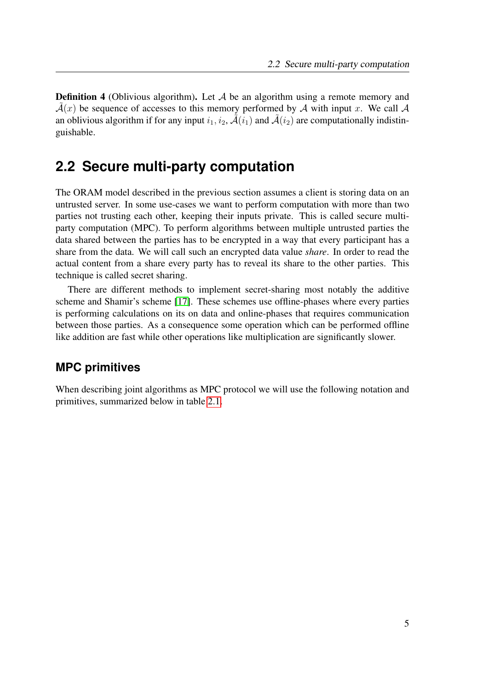**Definition 4** (Oblivious algorithm). Let  $A$  be an algorithm using a remote memory and  $\mathcal{A}(x)$  be sequence of accesses to this memory performed by A with input x. We call A an oblivious algorithm if for any input  $i_1, i_2, \mathcal{A}(i_1)$  and  $\mathcal{A}(i_2)$  are computationally indistinguishable.

#### <span id="page-12-0"></span>**2.2 Secure multi-party computation**

The ORAM model described in the previous section assumes a client is storing data on an untrusted server. In some use-cases we want to perform computation with more than two parties not trusting each other, keeping their inputs private. This is called secure multiparty computation (MPC). To perform algorithms between multiple untrusted parties the data shared between the parties has to be encrypted in a way that every participant has a share from the data. We will call such an encrypted data value *share*. In order to read the actual content from a share every party has to reveal its share to the other parties. This technique is called secret sharing.

There are different methods to implement secret-sharing most notably the additive scheme and Shamir's scheme [\[17\]](#page-51-4). These schemes use offline-phases where every parties is performing calculations on its on data and online-phases that requires communication between those parties. As a consequence some operation which can be performed offline like addition are fast while other operations like multiplication are significantly slower.

#### <span id="page-12-1"></span>**MPC primitives**

When describing joint algorithms as MPC protocol we will use the following notation and primitives, summarized below in table [2.1.](#page-13-0)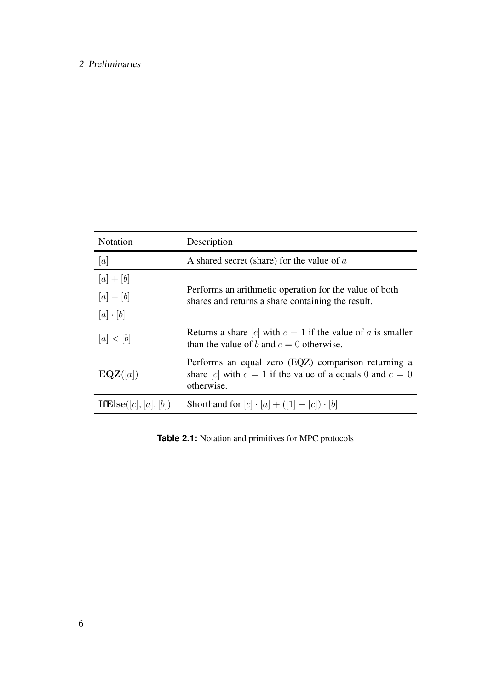| <b>Notation</b>                               | Description                                                                                                                        |
|-----------------------------------------------|------------------------------------------------------------------------------------------------------------------------------------|
| a                                             | A shared secret (share) for the value of $a$                                                                                       |
| $[a] + [b]$<br>$[a] - [b]$<br>$[a] \cdot [b]$ | Performs an arithmetic operation for the value of both<br>shares and returns a share containing the result.                        |
| [a] < [b]                                     | Returns a share  c  with $c = 1$ if the value of a is smaller<br>than the value of b and $c = 0$ otherwise.                        |
| EQZ([a])                                      | Performs an equal zero (EQZ) comparison returning a<br>share [c] with $c = 1$ if the value of a equals 0 and $c = 0$<br>otherwise. |
| $\textbf{IfElse}( c ,  a ,  b )$              | Shorthand for $[c] \cdot [a] + ([1] - [c]) \cdot [b]$                                                                              |

<span id="page-13-0"></span>**Table 2.1:** Notation and primitives for MPC protocols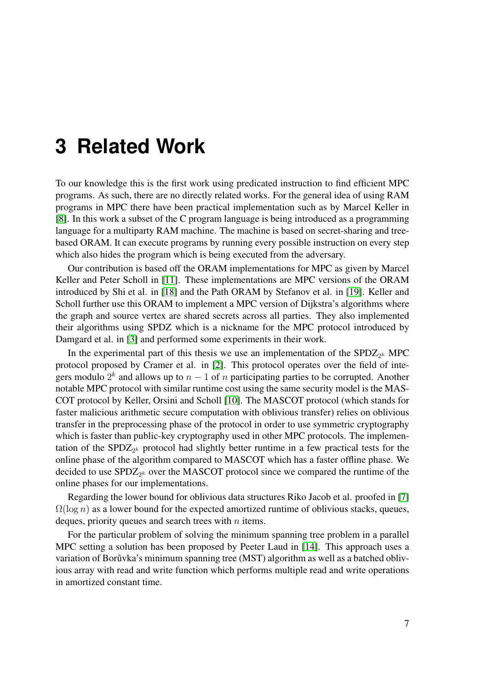### <span id="page-14-0"></span>**3 Related Work**

To our knowledge this is the first work using predicated instruction to find efficient MPC programs. As such, there are no directly related works. For the general idea of using RAM programs in MPC there have been practical implementation such as by Marcel Keller in [\[8\]](#page-50-2). In this work a subset of the C program language is being introduced as a programming language for a multiparty RAM machine. The machine is based on secret-sharing and treebased ORAM. It can execute programs by running every possible instruction on every step which also hides the program which is being executed from the adversary.

Our contribution is based off the ORAM implementations for MPC as given by Marcel Keller and Peter Scholl in [\[11\]](#page-50-7). These implementations are MPC versions of the ORAM introduced by Shi et al. in [\[18\]](#page-51-2) and the Path ORAM by Stefanov et al. in [\[19\]](#page-51-5). Keller and Scholl further use this ORAM to implement a MPC version of Dijkstra's algorithms where the graph and source vertex are shared secrets across all parties. They also implemented their algorithms using SPDZ which is a nickname for the MPC protocol introduced by Damgard et al. in [\[3\]](#page-50-8) and performed some experiments in their work.

In the experimental part of this thesis we use an implementation of the  $SPDZ_{2^k}$  MPC protocol proposed by Cramer et al. in [\[2\]](#page-50-3). This protocol operates over the field of integers modulo  $2^k$  and allows up to  $n-1$  of n participating parties to be corrupted. Another notable MPC protocol with similar runtime cost using the same security model is the MAS-COT protocol by Keller, Orsini and Scholl [\[10\]](#page-50-9). The MASCOT protocol (which stands for faster malicious arithmetic secure computation with oblivious transfer) relies on oblivious transfer in the preprocessing phase of the protocol in order to use symmetric cryptography which is faster than public-key cryptography used in other MPC protocols. The implementation of the SPD $Z_{2^k}$  protocol had slightly better runtime in a few practical tests for the online phase of the algorithm compared to MASCOT which has a faster offline phase. We decided to use  $SPDZ_{2^k}$  over the MASCOT protocol since we compared the runtime of the online phases for our implementations.

Regarding the lower bound for oblivious data structures Riko Jacob et al. proofed in [\[7\]](#page-50-10)  $\Omega(\log n)$  as a lower bound for the expected amortized runtime of oblivious stacks, queues, deques, priority queues and search trees with  $n$  items.

For the particular problem of solving the minimum spanning tree problem in a parallel MPC setting a solution has been proposed by Peeter Laud in [\[14\]](#page-51-6). This approach uses a variation of Borůvka's minimum spanning tree (MST) algorithm as well as a batched oblivious array with read and write function which performs multiple read and write operations in amortized constant time.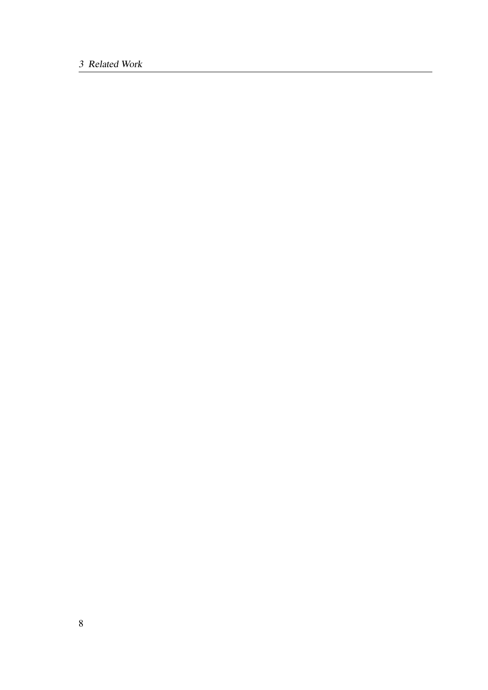3 Related Work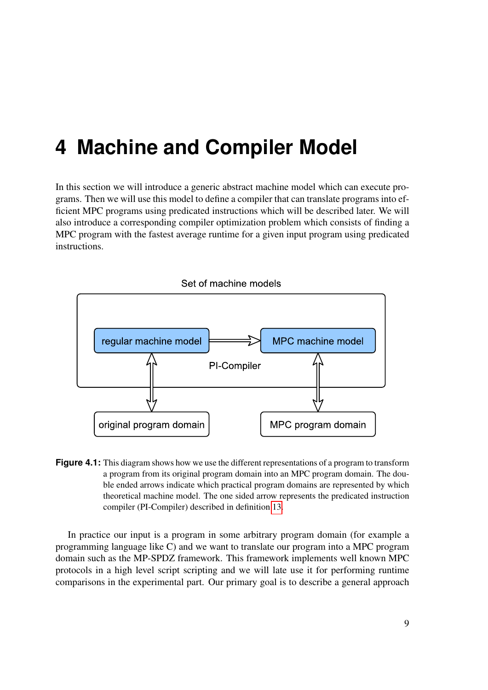## <span id="page-16-0"></span>**4 Machine and Compiler Model**

In this section we will introduce a generic abstract machine model which can execute programs. Then we will use this model to define a compiler that can translate programs into efficient MPC programs using predicated instructions which will be described later. We will also introduce a corresponding compiler optimization problem which consists of finding a MPC program with the fastest average runtime for a given input program using predicated instructions.



<span id="page-16-1"></span>**Figure 4.1:** This diagram shows how we use the different representations of a program to transform a program from its original program domain into an MPC program domain. The double ended arrows indicate which practical program domains are represented by which theoretical machine model. The one sided arrow represents the predicated instruction compiler (PI-Compiler) described in definition [13.](#page-22-0)

In practice our input is a program in some arbitrary program domain (for example a programming language like C) and we want to translate our program into a MPC program domain such as the MP-SPDZ framework. This framework implements well known MPC protocols in a high level script scripting and we will late use it for performing runtime comparisons in the experimental part. Our primary goal is to describe a general approach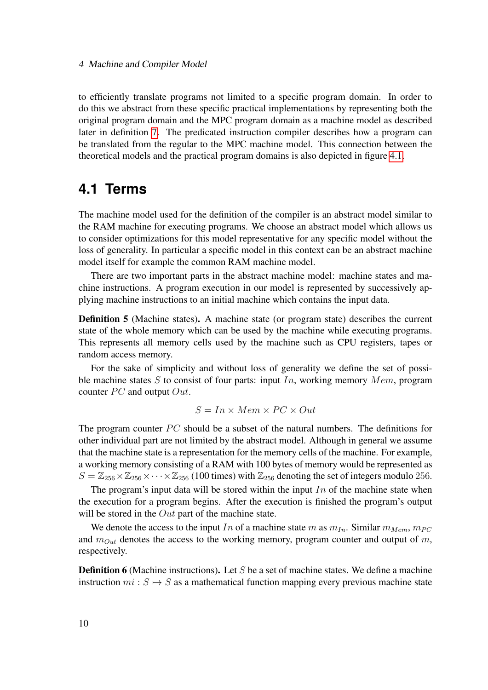to efficiently translate programs not limited to a specific program domain. In order to do this we abstract from these specific practical implementations by representing both the original program domain and the MPC program domain as a machine model as described later in definition [7.](#page-18-0) The predicated instruction compiler describes how a program can be translated from the regular to the MPC machine model. This connection between the theoretical models and the practical program domains is also depicted in figure [4.1.](#page-16-1)

#### <span id="page-17-0"></span>**4.1 Terms**

The machine model used for the definition of the compiler is an abstract model similar to the RAM machine for executing programs. We choose an abstract model which allows us to consider optimizations for this model representative for any specific model without the loss of generality. In particular a specific model in this context can be an abstract machine model itself for example the common RAM machine model.

There are two important parts in the abstract machine model: machine states and machine instructions. A program execution in our model is represented by successively applying machine instructions to an initial machine which contains the input data.

Definition 5 (Machine states). A machine state (or program state) describes the current state of the whole memory which can be used by the machine while executing programs. This represents all memory cells used by the machine such as CPU registers, tapes or random access memory.

For the sake of simplicity and without loss of generality we define the set of possible machine states S to consist of four parts: input  $In$ , working memory  $Mem$ , program counter  $PC$  and output  $Out.$ 

$$
S = In \times Mem \times PC \times Out
$$

The program counter  $PC$  should be a subset of the natural numbers. The definitions for other individual part are not limited by the abstract model. Although in general we assume that the machine state is a representation for the memory cells of the machine. For example, a working memory consisting of a RAM with 100 bytes of memory would be represented as  $S = \mathbb{Z}_{256} \times \mathbb{Z}_{256} \times \cdots \times \mathbb{Z}_{256}$  (100 times) with  $\mathbb{Z}_{256}$  denoting the set of integers modulo 256.

The program's input data will be stored within the input  $In$  of the machine state when the execution for a program begins. After the execution is finished the program's output will be stored in the  $Out$  part of the machine state.

We denote the access to the input In of a machine state m as  $m_{In}$ . Similar  $m_{Mem}$ ,  $m_{PC}$ and  $m<sub>Out</sub>$  denotes the access to the working memory, program counter and output of m, respectively.

**Definition 6** (Machine instructions). Let S be a set of machine states. We define a machine instruction  $mi : S \mapsto S$  as a mathematical function mapping every previous machine state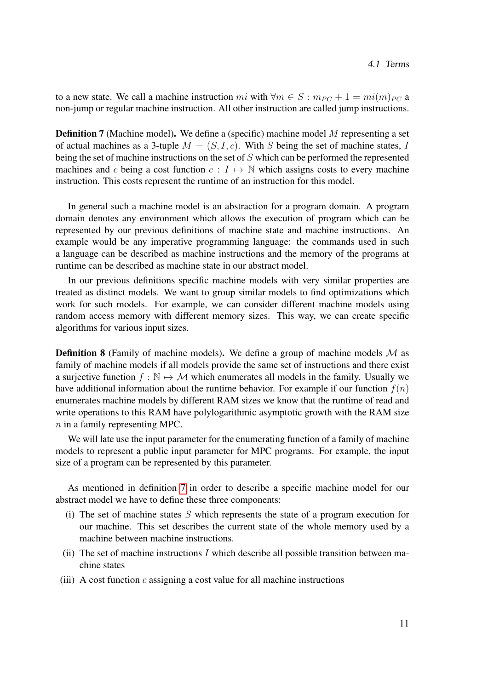to a new state. We call a machine instruction mi with  $\forall m \in S : m_{PC} + 1 = mi(m)_{PC}$  a non-jump or regular machine instruction. All other instruction are called jump instructions.

<span id="page-18-0"></span>**Definition 7** (Machine model). We define a (specific) machine model M representing a set of actual machines as a 3-tuple  $M = (S, I, c)$ . With S being the set of machine states, I being the set of machine instructions on the set of S which can be performed the represented machines and c being a cost function  $c : I \mapsto \mathbb{N}$  which assigns costs to every machine instruction. This costs represent the runtime of an instruction for this model.

In general such a machine model is an abstraction for a program domain. A program domain denotes any environment which allows the execution of program which can be represented by our previous definitions of machine state and machine instructions. An example would be any imperative programming language: the commands used in such a language can be described as machine instructions and the memory of the programs at runtime can be described as machine state in our abstract model.

In our previous definitions specific machine models with very similar properties are treated as distinct models. We want to group similar models to find optimizations which work for such models. For example, we can consider different machine models using random access memory with different memory sizes. This way, we can create specific algorithms for various input sizes.

**Definition 8** (Family of machine models). We define a group of machine models  $M$  as family of machine models if all models provide the same set of instructions and there exist a surjective function  $f : \mathbb{N} \to \mathcal{M}$  which enumerates all models in the family. Usually we have additional information about the runtime behavior. For example if our function  $f(n)$ enumerates machine models by different RAM sizes we know that the runtime of read and write operations to this RAM have polylogarithmic asymptotic growth with the RAM size  $n$  in a family representing MPC.

We will late use the input parameter for the enumerating function of a family of machine models to represent a public input parameter for MPC programs. For example, the input size of a program can be represented by this parameter.

As mentioned in definition [7](#page-18-0) in order to describe a specific machine model for our abstract model we have to define these three components:

- (i) The set of machine states S which represents the state of a program execution for our machine. This set describes the current state of the whole memory used by a machine between machine instructions.
- (ii) The set of machine instructions I which describe all possible transition between machine states
- (iii) A cost function  $c$  assigning a cost value for all machine instructions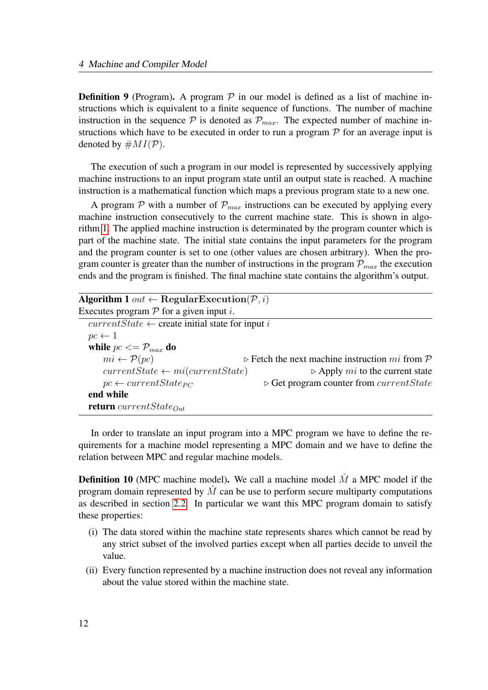**Definition 9** (Program). A program  $\mathcal P$  in our model is defined as a list of machine instructions which is equivalent to a finite sequence of functions. The number of machine instruction in the sequence  $P$  is denoted as  $P_{max}$ . The expected number of machine instructions which have to be executed in order to run a program  $P$  for an average input is denoted by  $\#MI(\mathcal{P})$ .

The execution of such a program in our model is represented by successively applying machine instructions to an input program state until an output state is reached. A machine instruction is a mathematical function which maps a previous program state to a new one.

A program  $P$  with a number of  $P_{max}$  instructions can be executed by applying every machine instruction consecutively to the current machine state. This is shown in algorithm [1.](#page-19-0) The applied machine instruction is determinated by the program counter which is part of the machine state. The initial state contains the input parameters for the program and the program counter is set to one (other values are chosen arbitrary). When the program counter is greater than the number of instructions in the program  $\mathcal{P}_{max}$  the execution ends and the program is finished. The final machine state contains the algorithm's output.

<span id="page-19-0"></span>

| Algorithm 1 $out \leftarrow$ Regular Execution( $P, i$ )           |                                                                          |  |  |  |
|--------------------------------------------------------------------|--------------------------------------------------------------------------|--|--|--|
| Executes program $P$ for a given input i.                          |                                                                          |  |  |  |
| $currentState \leftarrow \text{create initial state for input } i$ |                                                                          |  |  |  |
| $pc \leftarrow 1$                                                  |                                                                          |  |  |  |
| while $pc \leq \mathcal{P}_{max}$ do                               |                                                                          |  |  |  |
| $mi \leftarrow \mathcal{P}(pc)$                                    | $\triangleright$ Fetch the next machine instruction mi from $\mathcal P$ |  |  |  |
| $currentState \leftarrow mi(currentState)$                         | $\triangleright$ Apply <i>mi</i> to the current state                    |  |  |  |
| $pc \leftarrow currentState_{PC}$                                  | $\triangleright$ Get program counter from <i>current State</i>           |  |  |  |
| end while                                                          |                                                                          |  |  |  |
| <b>return</b> current State $_{Out}$                               |                                                                          |  |  |  |
|                                                                    |                                                                          |  |  |  |

In order to translate an input program into a MPC program we have to define the requirements for a machine model representing a MPC domain and we have to define the relation between MPC and regular machine models.

**Definition 10** (MPC machine model). We call a machine model  $\hat{M}$  a MPC model if the program domain represented by  $\hat{M}$  can be use to perform secure multiparty computations as described in section [2.2.](#page-12-0) In particular we want this MPC program domain to satisfy these properties:

- (i) The data stored within the machine state represents shares which cannot be read by any strict subset of the involved parties except when all parties decide to unveil the value.
- (ii) Every function represented by a machine instruction does not reveal any information about the value stored within the machine state.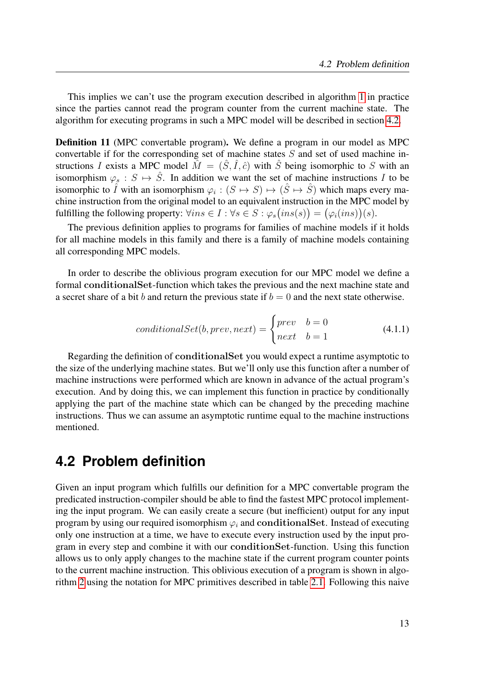This implies we can't use the program execution described in algorithm [1](#page-19-0) in practice since the parties cannot read the program counter from the current machine state. The algorithm for executing programs in such a MPC model will be described in section [4.2.](#page-20-0)

<span id="page-20-1"></span>Definition 11 (MPC convertable program). We define a program in our model as MPC convertable if for the corresponding set of machine states  $S$  and set of used machine instructions I exists a MPC model  $\hat{M} = (\hat{S}, \hat{I}, \hat{c})$  with  $\hat{S}$  being isomorphic to S with an isomorphism  $\varphi_s : S \mapsto \hat{S}$ . In addition we want the set of machine instructions I to be isomorphic to  $\hat{I}$  with an isomorphism  $\varphi_i : (S \mapsto S) \mapsto (\hat{S} \mapsto \hat{S})$  which maps every machine instruction from the original model to an equivalent instruction in the MPC model by fulfilling the following property:  $\forall ins \in I : \forall s \in S : \varphi_s \big( ins(s) \big) = (\varphi_i (ins))(s)$ .

The previous definition applies to programs for families of machine models if it holds for all machine models in this family and there is a family of machine models containing all corresponding MPC models.

In order to describe the oblivious program execution for our MPC model we define a formal conditionalSet-function which takes the previous and the next machine state and a secret share of a bit b and return the previous state if  $b = 0$  and the next state otherwise.

$$
conditionalSet(b,prev,next) = \begin{cases} prev & b = 0\\ next & b = 1 \end{cases}
$$
\n(4.1.1)

Regarding the definition of conditionalSet you would expect a runtime asymptotic to the size of the underlying machine states. But we'll only use this function after a number of machine instructions were performed which are known in advance of the actual program's execution. And by doing this, we can implement this function in practice by conditionally applying the part of the machine state which can be changed by the preceding machine instructions. Thus we can assume an asymptotic runtime equal to the machine instructions mentioned.

#### <span id="page-20-0"></span>**4.2 Problem definition**

Given an input program which fulfills our definition for a MPC convertable program the predicated instruction-compiler should be able to find the fastest MPC protocol implementing the input program. We can easily create a secure (but inefficient) output for any input program by using our required isomorphism  $\varphi_i$  and conditionalSet. Instead of executing only one instruction at a time, we have to execute every instruction used by the input program in every step and combine it with our conditionSet-function. Using this function allows us to only apply changes to the machine state if the current program counter points to the current machine instruction. This oblivious execution of a program is shown in algorithm [2](#page-21-0) using the notation for MPC primitives described in table [2.1.](#page-13-0) Following this naive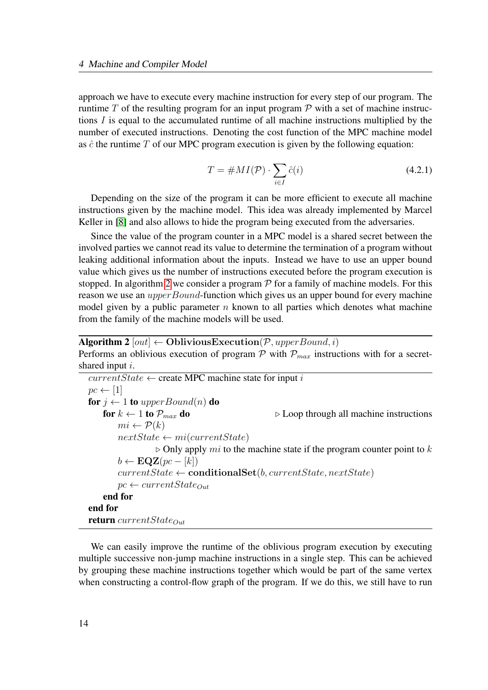approach we have to execute every machine instruction for every step of our program. The runtime  $T$  of the resulting program for an input program  $\mathcal P$  with a set of machine instructions I is equal to the accumulated runtime of all machine instructions multiplied by the number of executed instructions. Denoting the cost function of the MPC machine model as  $\hat{c}$  the runtime  $T$  of our MPC program execution is given by the following equation:

<span id="page-21-1"></span>
$$
T = \#MI(\mathcal{P}) \cdot \sum_{i \in I} \hat{c}(i)
$$
\n(4.2.1)

Depending on the size of the program it can be more efficient to execute all machine instructions given by the machine model. This idea was already implemented by Marcel Keller in [\[8\]](#page-50-2) and also allows to hide the program being executed from the adversaries.

Since the value of the program counter in a MPC model is a shared secret between the involved parties we cannot read its value to determine the termination of a program without leaking additional information about the inputs. Instead we have to use an upper bound value which gives us the number of instructions executed before the program execution is stopped. In algorithm [2](#page-21-0) we consider a program  $P$  for a family of machine models. For this reason we use an *upper Bound*-function which gives us an upper bound for every machine model given by a public parameter  $n$  known to all parties which denotes what machine from the family of the machine models will be used.

#### Algorithm 2  $[out] \leftarrow$  ObliviousExecution(P, upper Bound, i) Performs an oblivious execution of program  $P$  with  $P_{max}$  instructions with for a secretshared input i.

```
currentState \leftarrow create MPC machine state for input ipc \leftarrow [1]for j \leftarrow 1 to upper Bound(n) do
    for k \leftarrow 1 to \mathcal{P}_{max} do \rightarrow Loop through all machine instructions
        mi \leftarrow \mathcal{P}(k)nextState \leftarrow mi(currentState)\triangleright Only apply mi to the machine state if the program counter point to k
        b \leftarrow \mathbf{EQZ}(pc - [k])currentState \leftarrow conditionalSet(b, currentState, nextState)pc \leftarrow currentState_{Out}end for
end for
return currentState_{Out}
```
We can easily improve the runtime of the oblivious program execution by executing multiple successive non-jump machine instructions in a single step. This can be achieved by grouping these machine instructions together which would be part of the same vertex when constructing a control-flow graph of the program. If we do this, we still have to run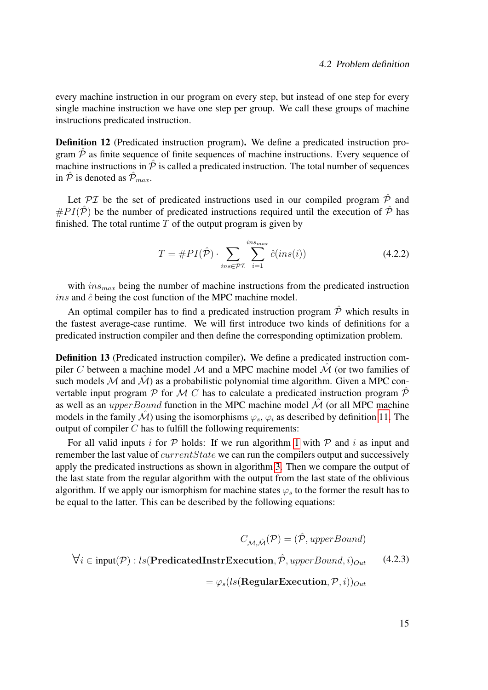every machine instruction in our program on every step, but instead of one step for every single machine instruction we have one step per group. We call these groups of machine instructions predicated instruction.

Definition 12 (Predicated instruction program). We define a predicated instruction program  $\hat{P}$  as finite sequence of finite sequences of machine instructions. Every sequence of machine instructions in  $\hat{\mathcal{P}}$  is called a predicated instruction. The total number of sequences in  $\hat{\mathcal{P}}$  is denoted as  $\hat{\mathcal{P}}_{max}$ .

Let  $\mathcal{PI}$  be the set of predicated instructions used in our compiled program  $\hat{\mathcal{P}}$  and  $#PI(\hat{P})$  be the number of predicated instructions required until the execution of  $\hat{P}$  has finished. The total runtime  $T$  of the output program is given by

<span id="page-22-1"></span>
$$
T = \#PI(\hat{\mathcal{P}}) \cdot \sum_{ins \in \mathcal{PI}} \sum_{i=1}^{ins_{max}} \hat{c}(ins(i)) \tag{4.2.2}
$$

with  $ins_{max}$  being the number of machine instructions from the predicated instruction ins and  $\hat{c}$  being the cost function of the MPC machine model.

An optimal compiler has to find a predicated instruction program  $\hat{\mathcal{P}}$  which results in the fastest average-case runtime. We will first introduce two kinds of definitions for a predicated instruction compiler and then define the corresponding optimization problem.

<span id="page-22-0"></span>Definition 13 (Predicated instruction compiler). We define a predicated instruction compiler C between a machine model M and a MPC machine model  $\hat{M}$  (or two families of such models M and  $\hat{\mathcal{M}}$  as a probabilistic polynomial time algorithm. Given a MPC convertable input program  $P$  for M C has to calculate a predicated instruction program  $\hat{P}$ as well as an *upper Bound* function in the MPC machine model  $\hat{M}$  (or all MPC machine models in the family  $\hat{\mathcal{M}}$ ) using the isomorphisms  $\varphi_s$ ,  $\varphi_i$  as described by definition [11.](#page-20-1) The output of compiler  $C$  has to fulfill the following requirements:

For all valid inputs i for  $P$  holds: If we run algorithm [1](#page-19-0) with  $P$  and i as input and remember the last value of *currentState* we can run the compilers output and successively apply the predicated instructions as shown in algorithm [3.](#page-23-0) Then we compare the output of the last state from the regular algorithm with the output from the last state of the oblivious algorithm. If we apply our ismorphism for machine states  $\varphi_s$  to the former the result has to be equal to the latter. This can be described by the following equations:

$$
C_{\mathcal{M},\hat{\mathcal{M}}}(\mathcal{P}) = (\hat{\mathcal{P}}, upperBound)
$$

$$
\forall i \in input(\mathcal{P}) : ls(\mathbf{PredictedInstrExecution}, \hat{\mathcal{P}}, upperBound, i)_{Out} \qquad (4.2.3)
$$

$$
= \varphi_s(ls(\mathbf{RegularExecution}, \mathcal{P}, i))_{Out}
$$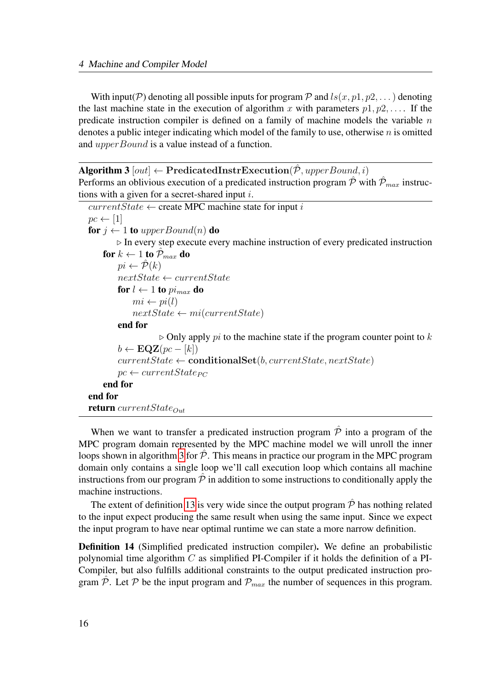With input(P) denoting all possible inputs for program P and  $ls(x, p1, p2, ...)$  denoting the last machine state in the execution of algorithm x with parameters  $p_1, p_2, \ldots$  If the predicate instruction compiler is defined on a family of machine models the variable  $n$ denotes a public integer indicating which model of the family to use, otherwise  $n$  is omitted and *upper Bound* is a value instead of a function.

Algorithm 3  $[out] \leftarrow$  PredicatedInstrExecution( $\hat{\mathcal{P}}$ , upper Bound, i) Performs an oblivious execution of a predicated instruction program  $\mathcal P$  with  $\mathcal P_{max}$  instructions with a given for a secret-shared input i.

```
currentState \leftarrow create MPC machine state for input ipc \leftarrow [1]for j \leftarrow 1 to upper Bound(n) do
        \triangleright In every step execute every machine instruction of every predicated instruction
    for k \leftarrow 1 to \mathcal{P}_{max} do
         pi \leftarrow \hat{\mathcal{P}}(k)nextState \leftarrow currentStatefor l \leftarrow 1 to pi_{max} do
             mi \leftarrow pi(l)nextState \leftarrow mi(currentState)end for
                      \triangleright Only apply pi to the machine state if the program counter point to k
         b \leftarrow \mathbf{EQZ}(pc - [k])currentState \leftarrow conditionalSet(b, currentState, nextState)pc \leftarrow currentState_{PC}end for
end for
return currentState_{Out}
```
When we want to transfer a predicated instruction program  $\hat{\mathcal{P}}$  into a program of the MPC program domain represented by the MPC machine model we will unroll the inner loops shown in algorithm [3](#page-23-0) for  $\overline{P}$ . This means in practice our program in the MPC program domain only contains a single loop we'll call execution loop which contains all machine instructions from our program  $\hat{\mathcal{P}}$  in addition to some instructions to conditionally apply the machine instructions.

The extent of definition [13](#page-22-0) is very wide since the output program  $\hat{\mathcal{P}}$  has nothing related to the input expect producing the same result when using the same input. Since we expect the input program to have near optimal runtime we can state a more narrow definition.

<span id="page-23-1"></span>Definition 14 (Simplified predicated instruction compiler). We define an probabilistic polynomial time algorithm  $C$  as simplified PI-Compiler if it holds the definition of a PI-Compiler, but also fulfills additional constraints to the output predicated instruction program  $\overline{P}$ . Let  $\overline{P}$  be the input program and  $\mathcal{P}_{max}$  the number of sequences in this program.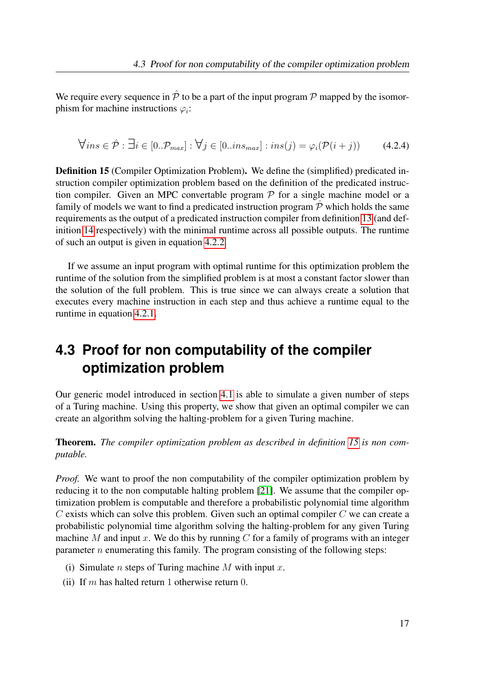We require every sequence in  $\hat{\mathcal{P}}$  to be a part of the input program  $\mathcal P$  mapped by the isomorphism for machine instructions  $\varphi_i$ :

$$
\forall ins \in \hat{\mathcal{P}} : \exists i \in [0..\mathcal{P}_{max}] : \forall j \in [0..ins_{max}] : ins(j) = \varphi_i(\mathcal{P}(i+j)) \tag{4.2.4}
$$

<span id="page-24-1"></span>Definition 15 (Compiler Optimization Problem). We define the (simplified) predicated instruction compiler optimization problem based on the definition of the predicated instruction compiler. Given an MPC convertable program  $P$  for a single machine model or a family of models we want to find a predicated instruction program  $\hat{\mathcal{P}}$  which holds the same requirements as the output of a predicated instruction compiler from definition [13](#page-22-0) (and definition [14](#page-23-1) respectively) with the minimal runtime across all possible outputs. The runtime of such an output is given in equation [4.2.2.](#page-22-1)

If we assume an input program with optimal runtime for this optimization problem the runtime of the solution from the simplified problem is at most a constant factor slower than the solution of the full problem. This is true since we can always create a solution that executes every machine instruction in each step and thus achieve a runtime equal to the runtime in equation [4.2.1.](#page-21-1)

### <span id="page-24-0"></span>**4.3 Proof for non computability of the compiler optimization problem**

Our generic model introduced in section [4.1](#page-17-0) is able to simulate a given number of steps of a Turing machine. Using this property, we show that given an optimal compiler we can create an algorithm solving the halting-problem for a given Turing machine.

Theorem. *The compiler optimization problem as described in definition [15](#page-24-1) is non computable.*

*Proof.* We want to proof the non computability of the compiler optimization problem by reducing it to the non computable halting problem [\[21\]](#page-51-7). We assume that the compiler optimization problem is computable and therefore a probabilistic polynomial time algorithm  $C$  exists which can solve this problem. Given such an optimal compiler  $C$  we can create a probabilistic polynomial time algorithm solving the halting-problem for any given Turing machine M and input x. We do this by running  $C$  for a family of programs with an integer parameter *n* enumerating this family. The program consisting of the following steps:

- (i) Simulate *n* steps of Turing machine *M* with input *x*.
- (ii) If m has halted return 1 otherwise return 0.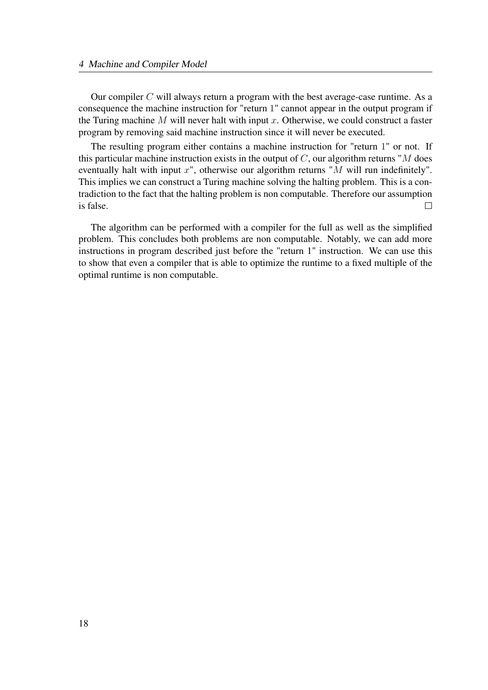Our compiler  $C$  will always return a program with the best average-case runtime. As a consequence the machine instruction for "return 1" cannot appear in the output program if the Turing machine  $M$  will never halt with input  $x$ . Otherwise, we could construct a faster program by removing said machine instruction since it will never be executed.

The resulting program either contains a machine instruction for "return 1" or not. If this particular machine instruction exists in the output of  $C$ , our algorithm returns "M does eventually halt with input  $x$ ", otherwise our algorithm returns " $M$  will run indefinitely". This implies we can construct a Turing machine solving the halting problem. This is a contradiction to the fact that the halting problem is non computable. Therefore our assumption is false.  $\Box$ 

The algorithm can be performed with a compiler for the full as well as the simplified problem. This concludes both problems are non computable. Notably, we can add more instructions in program described just before the "return 1" instruction. We can use this to show that even a compiler that is able to optimize the runtime to a fixed multiple of the optimal runtime is non computable.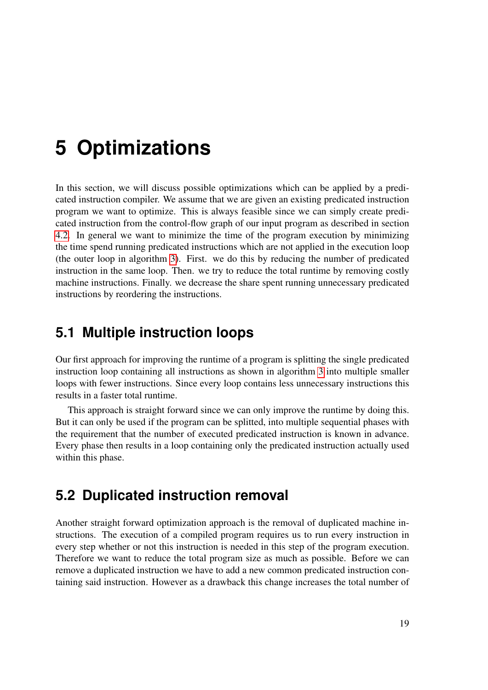## <span id="page-26-0"></span>**5 Optimizations**

In this section, we will discuss possible optimizations which can be applied by a predicated instruction compiler. We assume that we are given an existing predicated instruction program we want to optimize. This is always feasible since we can simply create predicated instruction from the control-flow graph of our input program as described in section [4.2.](#page-20-0) In general we want to minimize the time of the program execution by minimizing the time spend running predicated instructions which are not applied in the execution loop (the outer loop in algorithm [3\)](#page-23-0). First. we do this by reducing the number of predicated instruction in the same loop. Then. we try to reduce the total runtime by removing costly machine instructions. Finally. we decrease the share spent running unnecessary predicated instructions by reordering the instructions.

### <span id="page-26-1"></span>**5.1 Multiple instruction loops**

Our first approach for improving the runtime of a program is splitting the single predicated instruction loop containing all instructions as shown in algorithm [3](#page-23-0) into multiple smaller loops with fewer instructions. Since every loop contains less unnecessary instructions this results in a faster total runtime.

This approach is straight forward since we can only improve the runtime by doing this. But it can only be used if the program can be splitted, into multiple sequential phases with the requirement that the number of executed predicated instruction is known in advance. Every phase then results in a loop containing only the predicated instruction actually used within this phase.

### <span id="page-26-2"></span>**5.2 Duplicated instruction removal**

Another straight forward optimization approach is the removal of duplicated machine instructions. The execution of a compiled program requires us to run every instruction in every step whether or not this instruction is needed in this step of the program execution. Therefore we want to reduce the total program size as much as possible. Before we can remove a duplicated instruction we have to add a new common predicated instruction containing said instruction. However as a drawback this change increases the total number of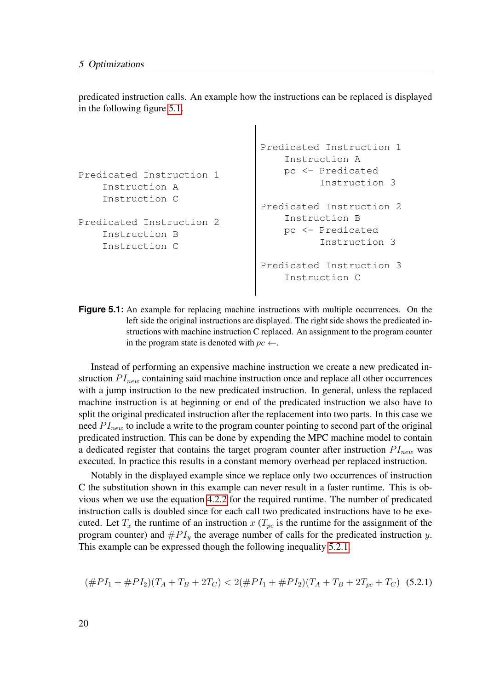predicated instruction calls. An example how the instructions can be replaced is displayed in the following figure [5.1.](#page-27-0)

```
Predicated Instruction 1
    Instruction A
    Instruction C
Predicated Instruction 2
    Instruction B
    Instruction C
```

```
Predicated Instruction 1
    Instruction A
    pc <- Predicated
          Instruction 3
Predicated Instruction 2
    Instruction B
    pc <- Predicated
          Instruction 3
Predicated Instruction 3
    Instruction C
```
**Figure 5.1:** An example for replacing machine instructions with multiple occurrences. On the left side the original instructions are displayed. The right side shows the predicated instructions with machine instruction C replaced. An assignment to the program counter in the program state is denoted with  $pc \leftarrow$ .

Instead of performing an expensive machine instruction we create a new predicated instruction  $PI_{new}$  containing said machine instruction once and replace all other occurrences with a jump instruction to the new predicated instruction. In general, unless the replaced machine instruction is at beginning or end of the predicated instruction we also have to split the original predicated instruction after the replacement into two parts. In this case we need  $PI_{new}$  to include a write to the program counter pointing to second part of the original predicated instruction. This can be done by expending the MPC machine model to contain a dedicated register that contains the target program counter after instruction  $PI_{new}$  was executed. In practice this results in a constant memory overhead per replaced instruction.

Notably in the displayed example since we replace only two occurrences of instruction C the substitution shown in this example can never result in a faster runtime. This is obvious when we use the equation [4.2.2](#page-22-1) for the required runtime. The number of predicated instruction calls is doubled since for each call two predicated instructions have to be executed. Let  $T_x$  the runtime of an instruction  $x(T_{pc}$  is the runtime for the assignment of the program counter) and  $#PI<sub>y</sub>$  the average number of calls for the predicated instruction y. This example can be expressed though the following inequality [5.2.1.](#page-27-1)

<span id="page-27-1"></span>
$$
(\#PI_1 + \#PI_2)(T_A + T_B + 2T_C) < 2(\#PI_1 + \#PI_2)(T_A + T_B + 2T_{pc} + T_C) \tag{5.2.1}
$$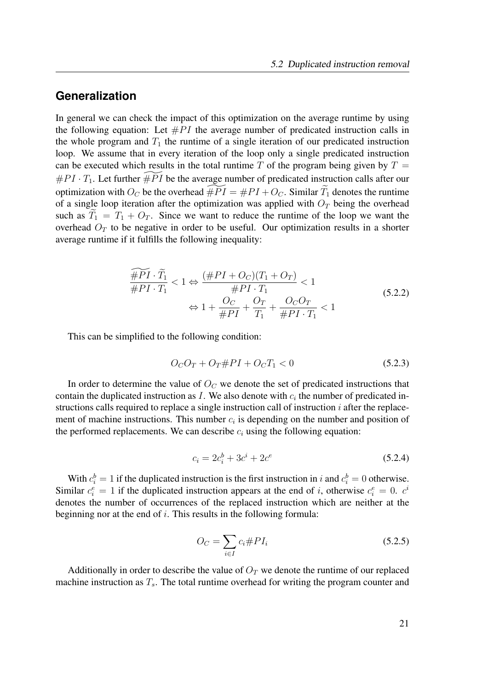#### **Generalization**

In general we can check the impact of this optimization on the average runtime by using the following equation: Let  $#PI$  the average number of predicated instruction calls in the whole program and  $T_1$  the runtime of a single iteration of our predicated instruction loop. We assume that in every iteration of the loop only a single predicated instruction can be executed which results in the total runtime T of the program being given by  $T =$  $#PI \cdot T_1$ . Let further  $\widetilde{\#PI}$  be the average number of predicated instruction calls after our optimization with O<sub>C</sub> be the overhead  $\widetilde{HPI} = \#PI + O_C$ . Similar  $\widetilde{T}_1$  denotes the runtime of a single loop iteration after the optimization was applied with  $O_T$  being the overhead such as  $T_1 = T_1 + O_T$ . Since we want to reduce the runtime of the loop we want the overhead  $O_T$  to be negative in order to be useful. Our optimization results in a shorter average runtime if it fulfills the following inequality:

$$
\frac{\widetilde{\#PI} \cdot \widetilde{T}_1}{\#PI \cdot T_1} < 1 \Leftrightarrow \frac{(\#PI + O_C)(T_1 + O_T)}{\#PI \cdot T_1} < 1
$$
\n
$$
\Leftrightarrow 1 + \frac{O_C}{\#PI} + \frac{O_T}{T_1} + \frac{O_C O_T}{\#PI \cdot T_1} < 1
$$
\n
$$
(5.2.2)
$$

This can be simplified to the following condition:

$$
O_C O_T + O_T \# PI + O_C T_1 < 0 \tag{5.2.3}
$$

In order to determine the value of  $O<sub>C</sub>$  we denote the set of predicated instructions that contain the duplicated instruction as  $I$ . We also denote with  $c_i$  the number of predicated instructions calls required to replace a single instruction call of instruction  $i$  after the replacement of machine instructions. This number  $c_i$  is depending on the number and position of the performed replacements. We can describe  $c_i$  using the following equation:

$$
c_i = 2c_i^b + 3c^i + 2c^e \tag{5.2.4}
$$

With  $c_i^b = 1$  if the duplicated instruction is the first instruction in i and  $c_i^b = 0$  otherwise. Similar  $c_i^e = 1$  if the duplicated instruction appears at the end of i, otherwise  $c_i^e = 0$ .  $c_i^i$ denotes the number of occurrences of the replaced instruction which are neither at the beginning nor at the end of  $i$ . This results in the following formula:

$$
O_C = \sum_{i \in I} c_i \# PI_i \tag{5.2.5}
$$

Additionally in order to describe the value of  $O_T$  we denote the runtime of our replaced machine instruction as  $T_s$ . The total runtime overhead for writing the program counter and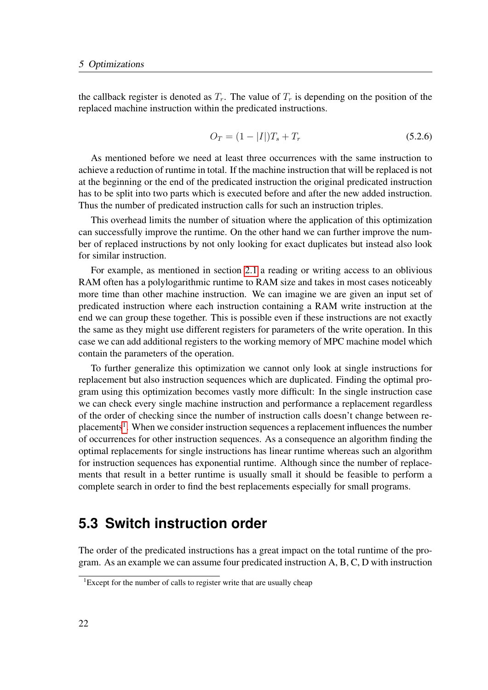the callback register is denoted as  $T_r$ . The value of  $T_r$  is depending on the position of the replaced machine instruction within the predicated instructions.

$$
O_T = (1 - |I|)T_s + T_r \tag{5.2.6}
$$

As mentioned before we need at least three occurrences with the same instruction to achieve a reduction of runtime in total. If the machine instruction that will be replaced is not at the beginning or the end of the predicated instruction the original predicated instruction has to be split into two parts which is executed before and after the new added instruction. Thus the number of predicated instruction calls for such an instruction triples.

This overhead limits the number of situation where the application of this optimization can successfully improve the runtime. On the other hand we can further improve the number of replaced instructions by not only looking for exact duplicates but instead also look for similar instruction.

For example, as mentioned in section [2.1](#page-10-1) a reading or writing access to an oblivious RAM often has a polylogarithmic runtime to RAM size and takes in most cases noticeably more time than other machine instruction. We can imagine we are given an input set of predicated instruction where each instruction containing a RAM write instruction at the end we can group these together. This is possible even if these instructions are not exactly the same as they might use different registers for parameters of the write operation. In this case we can add additional registers to the working memory of MPC machine model which contain the parameters of the operation.

To further generalize this optimization we cannot only look at single instructions for replacement but also instruction sequences which are duplicated. Finding the optimal program using this optimization becomes vastly more difficult: In the single instruction case we can check every single machine instruction and performance a replacement regardless of the order of checking since the number of instruction calls doesn't change between re-placements<sup>[1](#page-29-1)</sup>. When we consider instruction sequences a replacement influences the number of occurrences for other instruction sequences. As a consequence an algorithm finding the optimal replacements for single instructions has linear runtime whereas such an algorithm for instruction sequences has exponential runtime. Although since the number of replacements that result in a better runtime is usually small it should be feasible to perform a complete search in order to find the best replacements especially for small programs.

### <span id="page-29-0"></span>**5.3 Switch instruction order**

The order of the predicated instructions has a great impact on the total runtime of the program. As an example we can assume four predicated instruction A, B, C, D with instruction

<span id="page-29-1"></span><sup>&</sup>lt;sup>1</sup>Except for the number of calls to register write that are usually cheap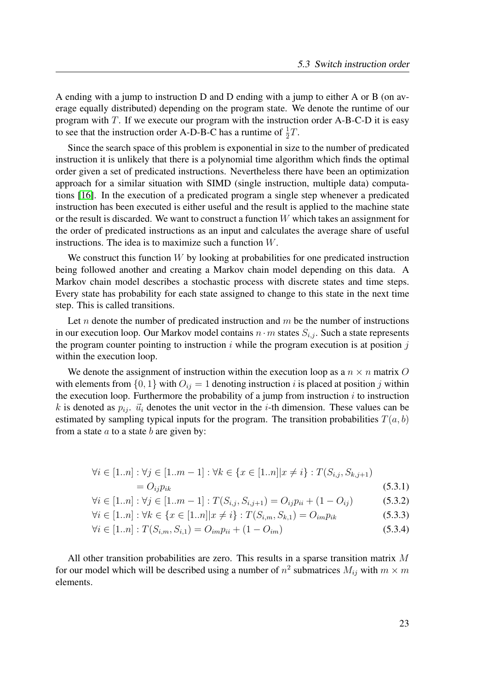A ending with a jump to instruction D and D ending with a jump to either A or B (on average equally distributed) depending on the program state. We denote the runtime of our program with  $T$ . If we execute our program with the instruction order A-B-C-D it is easy to see that the instruction order A-D-B-C has a runtime of  $\frac{1}{2}T$ .

Since the search space of this problem is exponential in size to the number of predicated instruction it is unlikely that there is a polynomial time algorithm which finds the optimal order given a set of predicated instructions. Nevertheless there have been an optimization approach for a similar situation with SIMD (single instruction, multiple data) computations [\[16\]](#page-51-8). In the execution of a predicated program a single step whenever a predicated instruction has been executed is either useful and the result is applied to the machine state or the result is discarded. We want to construct a function  $W$  which takes an assignment for the order of predicated instructions as an input and calculates the average share of useful instructions. The idea is to maximize such a function W.

We construct this function  $W$  by looking at probabilities for one predicated instruction being followed another and creating a Markov chain model depending on this data. A Markov chain model describes a stochastic process with discrete states and time steps. Every state has probability for each state assigned to change to this state in the next time step. This is called transitions.

Let  $n$  denote the number of predicated instruction and  $m$  be the number of instructions in our execution loop. Our Markov model contains  $n \cdot m$  states  $S_{i,j}$ . Such a state represents the program counter pointing to instruction  $i$  while the program execution is at position  $j$ within the execution loop.

We denote the assignment of instruction within the execution loop as a  $n \times n$  matrix O with elements from  $\{0, 1\}$  with  $O_{ij} = 1$  denoting instruction i is placed at position j within the execution loop. Furthermore the probability of a jump from instruction  $i$  to instruction k is denoted as  $p_{ij}$ .  $\vec{u}_i$  denotes the unit vector in the i-th dimension. These values can be estimated by sampling typical inputs for the program. The transition probabilities  $T(a, b)$ from a state  $a$  to a state  $b$  are given by:

$$
\forall i \in [1..n] : \forall j \in [1..m-1] : \forall k \in \{x \in [1..n]|x \neq i\} : T(S_{i,j}, S_{k,j+1})
$$
  
=  $O_{ij}p_{ik}$  (5.3.1)  

$$
\forall i \in [1..n] : \forall j \in [1..m-1] : T(S_{i,j}, S_{i,j+1}) = O_{ij}p_{ii} + (1 - O_{ij})
$$
 (5.3.2)

$$
\forall i \in [1..n] : \forall j \in [1..m \quad 1] : 1 \, (\omega_{i,j}, \omega_{i,j+1}) = \omega_{ij} p_{ii} + (1 - \omega_{ij}) \tag{5.3.3}
$$
\n
$$
\forall i \in [1..n] : \forall k \in \{x \in [1..n]| x \neq i\} : T(S_{i,m}, S_{k,1}) = O_{im} p_{ii} \tag{5.3.3}
$$

$$
\forall i \in [1...n] \quad \forall n \in [1...n] \land \forall t \in [1...n] \land \forall t \in [1...n] \land \forall t \in [1...n] \land \forall t \in [1...n] \land \forall t \in [1...n] \land \forall t \in [1...n] \land \forall t \in [1...n] \land \forall t \in [1...n] \land \forall t \in [1...n] \land \forall t \in [1...n] \land \forall t \in [1...n] \land \forall t \in [1...n] \land \forall t \in [1...n] \land \forall t \in [1...n] \land \forall t \in [1...n] \land \forall t \in [1...n] \land \forall t \in [1...n] \land \forall t \in [1...n] \land \forall t \in [1...n] \land \forall t \in [1...n] \land \forall t \in [1...n] \land \forall t \in [1...n] \land \forall t \in [1...n] \land \forall t \in [1...n] \land \forall t \in [1...n] \land \forall t \in [1...n] \land \forall t \in [1...n] \land \forall t \in [1...n] \land \forall t \in [1...n] \land \forall t \in [1...n] \land \forall t \in [1...n] \land \forall t \in [1...n] \land \forall t \in [1...n] \land \forall t \in [1...n] \land \forall t \in [1...n] \land \forall t \in [1...n] \land \forall t \in [1...n] \land \forall t \in [1...n] \land \forall t \in [1...n] \land \forall t \in [1...n] \land \forall t \in [1...n] \land \forall t \in [1...n] \land \forall t \in [1...n] \land \forall t \in [1...n] \land \forall t \in [1...n] \land \forall t \in [1...n] \land \forall t \in [1...n] \land \forall t \in [1...n] \land \forall t \in [1...n] \land \forall t \in [1...n] \land \forall t \in [1...n] \land \forall t \in [1...n] \land \forall t \in [1...n] \land \forall t \in [1...n] \land \forall t \in [1...n] \land \forall t \in [1...n]
$$

$$
\forall i \in [1..n] : T(S_{i,m}, S_{i,1}) = O_{im}p_{ii} + (1 - O_{im}) \tag{5.3.4}
$$

All other transition probabilities are zero. This results in a sparse transition matrix M for our model which will be described using a number of  $n^2$  submatrices  $M_{ij}$  with  $m \times m$ elements.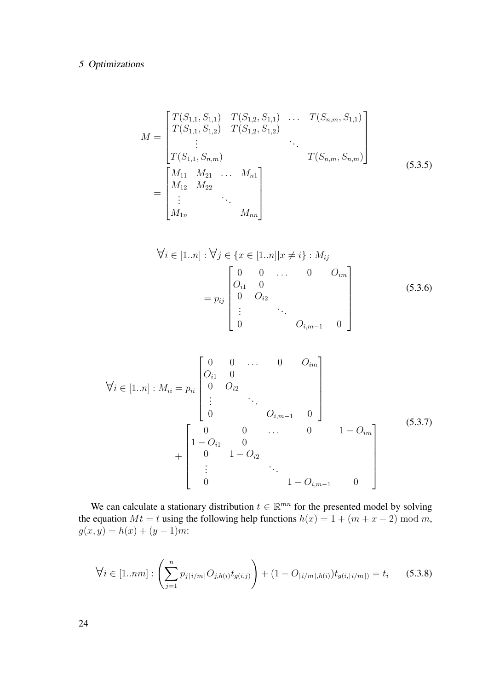$$
M = \begin{bmatrix} T(S_{1,1}, S_{1,1}) & T(S_{1,2}, S_{1,1}) & \dots & T(S_{n,m}, S_{1,1}) \\ T(S_{1,1}, S_{1,2}) & T(S_{1,2}, S_{1,2}) & & \\ \vdots & & \ddots & \\ T(S_{1,1}, S_{n,m}) & & & T(S_{n,m}, S_{n,m}) \end{bmatrix}
$$
  
= 
$$
\begin{bmatrix} M_{11} & M_{21} & \dots & M_{n1} \\ M_{12} & M_{22} & & \\ \vdots & & \ddots & \\ M_{1n} & & M_{nn} \end{bmatrix}
$$
 (5.3.5)

$$
\forall i \in [1..n] : \forall j \in \{x \in [1..n]|x \neq i\} : M_{ij}
$$
\n
$$
= p_{ij} \begin{bmatrix} 0 & 0 & \dots & 0 & O_{im} \\ O_{i1} & 0 & & & \\ 0 & O_{i2} & & & \\ \vdots & & \ddots & & \\ 0 & & & O_{i,m-1} & 0 \end{bmatrix}
$$
\n(5.3.6)

$$
\forall i \in [1..n] : M_{ii} = p_{ii} \begin{bmatrix} 0 & 0 & \cdots & 0 & O_{im} \\ O_{i1} & 0 & & & \\ 0 & O_{i2} & & & \\ \vdots & & \ddots & & \\ 0 & & & O_{i,m-1} & 0 \end{bmatrix}
$$
  
+ 
$$
\begin{bmatrix} 0 & 0 & \cdots & 0 & 1-O_{im} \\ 1-O_{i1} & 0 & & & \\ 0 & 1-O_{i2} & & & \\ \vdots & & \ddots & & \\ 0 & & & 1-O_{i,m-1} & 0 \end{bmatrix}
$$
  
(5.3.7)

We can calculate a stationary distribution  $t \in \mathbb{R}^{mn}$  for the presented model by solving the equation  $Mt = t$  using the following help functions  $h(x) = 1 + (m + x - 2) \mod m$ ,  $g(x, y) = h(x) + (y - 1)m$ :

<span id="page-31-0"></span>
$$
\forall i \in [1..nm] : \left(\sum_{j=1}^n p_{j\lceil i/m \rceil} O_{j,h(i)} t_{g(i,j)}\right) + (1 - O_{\lceil i/m \rceil,h(i)}) t_{g(i,\lceil i/m \rceil)} = t_i \qquad (5.3.8)
$$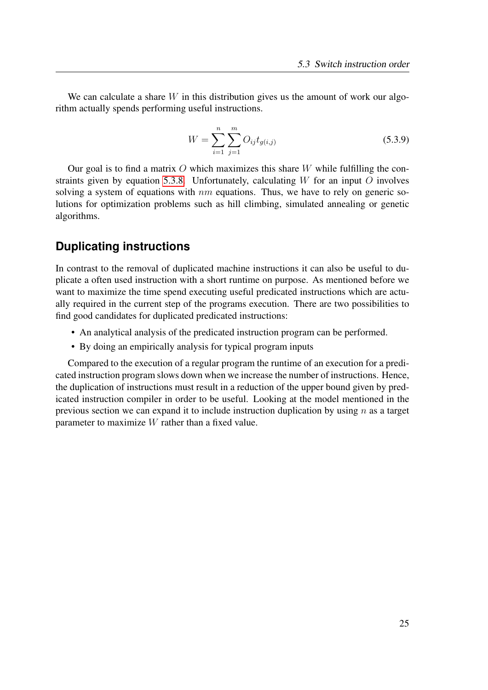We can calculate a share  $W$  in this distribution gives us the amount of work our algorithm actually spends performing useful instructions.

$$
W = \sum_{i=1}^{n} \sum_{j=1}^{m} O_{ij} t_{g(i,j)}
$$
(5.3.9)

Our goal is to find a matrix  $O$  which maximizes this share  $W$  while fulfilling the con-straints given by equation [5.3.8.](#page-31-0) Unfortunately, calculating  $W$  for an input  $O$  involves solving a system of equations with  $nm$  equations. Thus, we have to rely on generic solutions for optimization problems such as hill climbing, simulated annealing or genetic algorithms.

#### **Duplicating instructions**

In contrast to the removal of duplicated machine instructions it can also be useful to duplicate a often used instruction with a short runtime on purpose. As mentioned before we want to maximize the time spend executing useful predicated instructions which are actually required in the current step of the programs execution. There are two possibilities to find good candidates for duplicated predicated instructions:

- An analytical analysis of the predicated instruction program can be performed.
- By doing an empirically analysis for typical program inputs

Compared to the execution of a regular program the runtime of an execution for a predicated instruction program slows down when we increase the number of instructions. Hence, the duplication of instructions must result in a reduction of the upper bound given by predicated instruction compiler in order to be useful. Looking at the model mentioned in the previous section we can expand it to include instruction duplication by using  $n$  as a target parameter to maximize W rather than a fixed value.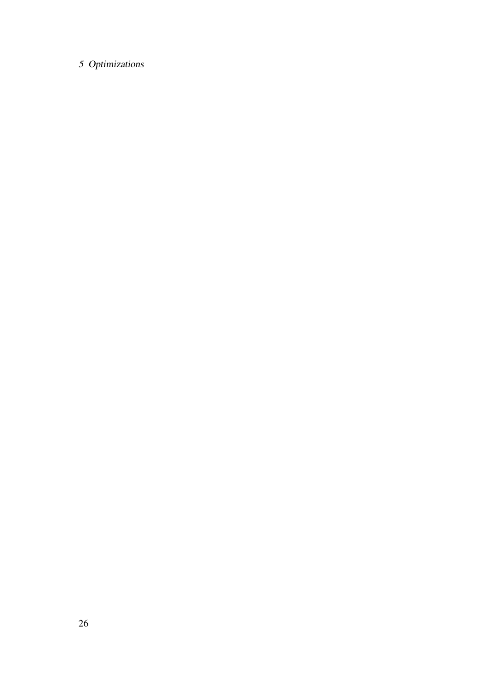5 Optimizations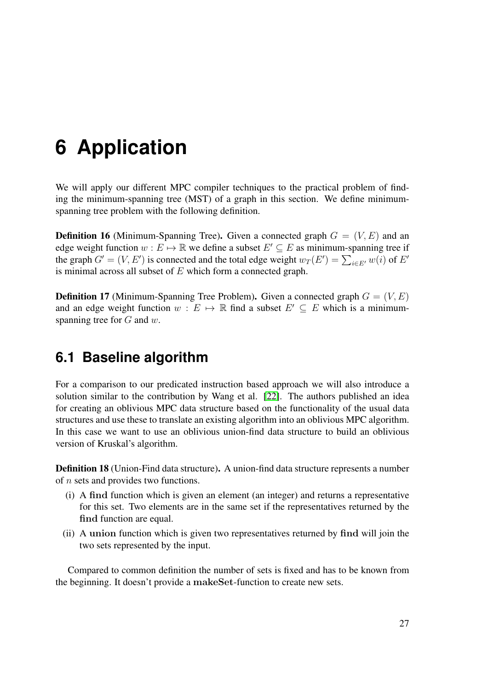## <span id="page-34-0"></span>**6 Application**

We will apply our different MPC compiler techniques to the practical problem of finding the minimum-spanning tree (MST) of a graph in this section. We define minimumspanning tree problem with the following definition.

**Definition 16** (Minimum-Spanning Tree). Given a connected graph  $G = (V, E)$  and an edge weight function  $w : E \mapsto \mathbb{R}$  we define a subset  $E' \subseteq E$  as minimum-spanning tree if the graph  $G' = (V, E')$  is connected and the total edge weight  $w_T(E') = \sum_{i \in E'} w(i)$  of  $E'$ is minimal across all subset of  $E$  which form a connected graph.

**Definition 17** (Minimum-Spanning Tree Problem). Given a connected graph  $G = (V, E)$ and an edge weight function  $w : E \mapsto \mathbb{R}$  find a subset  $E' \subseteq E$  which is a minimumspanning tree for G and w.

### <span id="page-34-1"></span>**6.1 Baseline algorithm**

For a comparison to our predicated instruction based approach we will also introduce a solution similar to the contribution by Wang et al. [\[22\]](#page-51-9). The authors published an idea for creating an oblivious MPC data structure based on the functionality of the usual data structures and use these to translate an existing algorithm into an oblivious MPC algorithm. In this case we want to use an oblivious union-find data structure to build an oblivious version of Kruskal's algorithm.

Definition 18 (Union-Find data structure). A union-find data structure represents a number of n sets and provides two functions.

- (i) A find function which is given an element (an integer) and returns a representative for this set. Two elements are in the same set if the representatives returned by the find function are equal.
- (ii) A union function which is given two representatives returned by find will join the two sets represented by the input.

Compared to common definition the number of sets is fixed and has to be known from the beginning. It doesn't provide a makeSet-function to create new sets.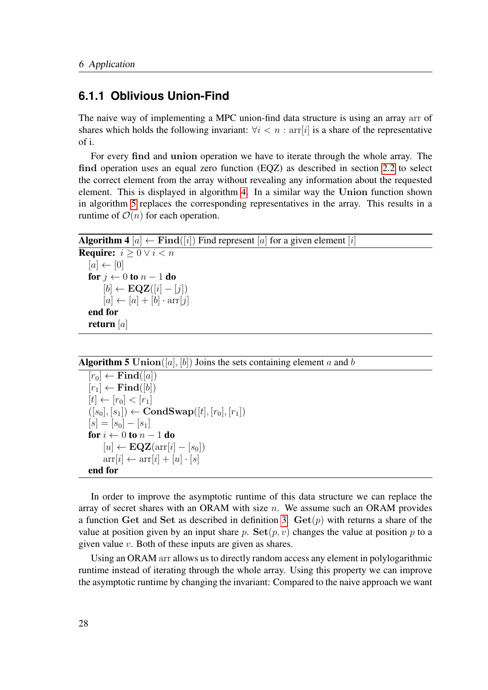#### <span id="page-35-0"></span>**6.1.1 Oblivious Union-Find**

The naive way of implementing a MPC union-find data structure is using an array arr of shares which holds the following invariant:  $\forall i < n : \text{arr}[i]$  is a share of the representative of i.

For every find and union operation we have to iterate through the whole array. The find operation uses an equal zero function (EQZ) as described in section [2.2](#page-12-1) to select the correct element from the array without revealing any information about the requested element. This is displayed in algorithm [4.](#page-35-1) In a similar way the Union function shown in algorithm [5](#page-35-2) replaces the corresponding representatives in the array. This results in a runtime of  $\mathcal{O}(n)$  for each operation.

```
Algorithm 4 [a] \leftarrow Find([i]) Find represent [a] for a given element [i]
Require: i > 0 \vee i < n[a] \leftarrow [0]for j \leftarrow 0 to n - 1 do
        [b] \leftarrow \mathbf{EQZ}([i] - [j])[a] \leftarrow [a] + [b] \cdot \araf[i]end for
   return [a]
```
**Algorithm 5** Union([a], [b]) Joins the sets containing element a and b

<span id="page-35-2"></span> $[r_0] \leftarrow \textbf{Find}([a])$  $[r_1] \leftarrow \textbf{Find}([b])$  $[t] \leftarrow [r_0] < [r_1]$  $([s_0], [s_1]) \leftarrow \textbf{CondSwap}([t], [r_0], [r_1])$  $[s] = [s_0] - [s_1]$ for  $i \leftarrow 0$  to  $n - 1$  do  $[u] \leftarrow \mathbf{EQZ}(\arctan[i] - [s_0])$  $\arcsin[i] \leftarrow \arcsin[i] + [u] \cdot [s]$ end for

In order to improve the asymptotic runtime of this data structure we can replace the array of secret shares with an ORAM with size  $n$ . We assume such an ORAM provides a function Get and Set as described in definition [3.](#page-11-0)  $\text{Get}(p)$  with returns a share of the value at position given by an input share p.  $\text{Set}(p, v)$  changes the value at position p to a given value  $v$ . Both of these inputs are given as shares.

Using an ORAM arr allows us to directly random access any element in polylogarithmic runtime instead of iterating through the whole array. Using this property we can improve the asymptotic runtime by changing the invariant: Compared to the naive approach we want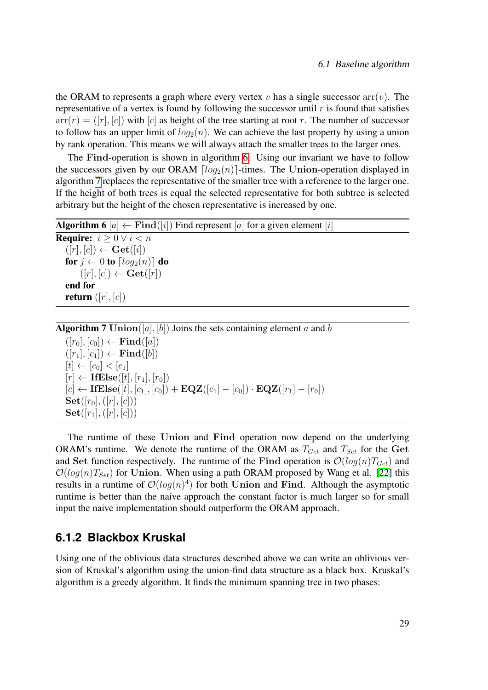the ORAM to represents a graph where every vertex v has a single successor  $\arctan(v)$ . The representative of a vertex is found by following the successor until  $r$  is found that satisfies  $arr(r) = (r, [c])$  with  $[c]$  as height of the tree starting at root r. The number of successor to follow has an upper limit of  $log_2(n)$ . We can achieve the last property by using a union by rank operation. This means we will always attach the smaller trees to the larger ones.

The Find-operation is shown in algorithm [6.](#page-36-1) Using our invariant we have to follow the successors given by our ORAM  $\lceil log_2(n) \rceil$ -times. The Union-operation displayed in algorithm [7](#page-36-2) replaces the representative of the smaller tree with a reference to the larger one. If the height of both trees is equal the selected representative for both subtree is selected arbitrary but the height of the chosen representative is increased by one.

<span id="page-36-1"></span>

| <b>Algorithm 6</b> [a] $\leftarrow$ Find([i]) Find represent [a] for a given element [i] |  |
|------------------------------------------------------------------------------------------|--|
| <b>Require:</b> $i > 0 \vee i < n$                                                       |  |
| $([r],[c]) \leftarrow \mathbf{Get}([i])$                                                 |  |
| for $j \leftarrow 0$ to $\lceil log_2(n) \rceil$ do                                      |  |
| $([r],[c]) \leftarrow \mathbf{Get}([r])$                                                 |  |
| end for                                                                                  |  |
| <b>return</b> $([r], [c])$                                                               |  |

**Algorithm 7** Union([a], [b]) Joins the sets containing element a and b

<span id="page-36-2"></span> $([r_0], [c_0]) \leftarrow \textbf{Find}([a])$  $([r_1], [c_1]) \leftarrow \textbf{Find}([b])$  $[t] \leftarrow [c_0] < [c_1]$  $[r] \leftarrow \textbf{IfElse}([t], [r_1], [r_0])$  $[c] \leftarrow \textbf{IfElse}([t], [c_1], [c_0]) + \textbf{EQZ}([c_1] - [c_0]) \cdot \textbf{EQZ}([r_1] - [r_0])$  $\textbf{Set}([r_0], ([r], [c]))$  $\textbf{Set}([r_1], ([r], [c]))$ 

The runtime of these Union and Find operation now depend on the underlying ORAM's runtime. We denote the runtime of the ORAM as  $T_{Get}$  and  $T_{Set}$  for the Get and Set function respectively. The runtime of the Find operation is  $\mathcal{O}(log(n)T_{Get})$  and  $O(log(n)T_{Set})$  for Union. When using a path ORAM proposed by Wang et al. [\[22\]](#page-51-9) this results in a runtime of  $\mathcal{O}(log(n)^4)$  for both Union and Find. Although the asymptotic runtime is better than the naive approach the constant factor is much larger so for small input the naive implementation should outperform the ORAM approach.

#### <span id="page-36-0"></span>**6.1.2 Blackbox Kruskal**

Using one of the oblivious data structures described above we can write an oblivious version of Kruskal's algorithm using the union-find data structure as a black box. Kruskal's algorithm is a greedy algorithm. It finds the minimum spanning tree in two phases: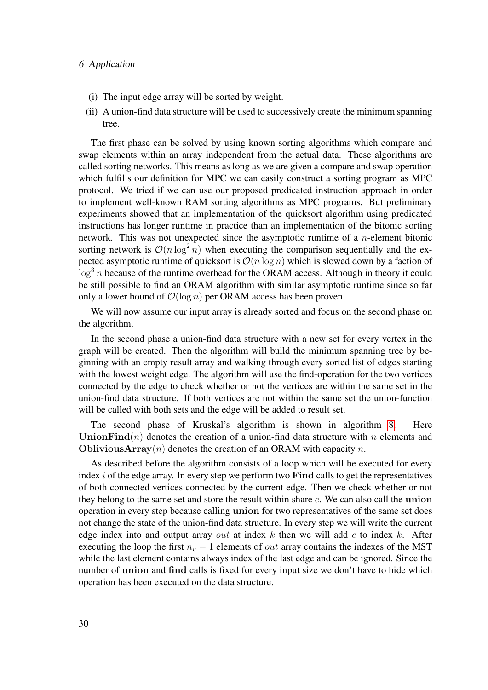- (i) The input edge array will be sorted by weight.
- (ii) A union-find data structure will be used to successively create the minimum spanning tree.

The first phase can be solved by using known sorting algorithms which compare and swap elements within an array independent from the actual data. These algorithms are called sorting networks. This means as long as we are given a compare and swap operation which fulfills our definition for MPC we can easily construct a sorting program as MPC protocol. We tried if we can use our proposed predicated instruction approach in order to implement well-known RAM sorting algorithms as MPC programs. But preliminary experiments showed that an implementation of the quicksort algorithm using predicated instructions has longer runtime in practice than an implementation of the bitonic sorting network. This was not unexpected since the asymptotic runtime of a *n*-element bitonic sorting network is  $\mathcal{O}(n \log^2 n)$  when executing the comparison sequentially and the expected asymptotic runtime of quicksort is  $\mathcal{O}(n \log n)$  which is slowed down by a faction of  $\log^3 n$  because of the runtime overhead for the ORAM access. Although in theory it could be still possible to find an ORAM algorithm with similar asymptotic runtime since so far only a lower bound of  $\mathcal{O}(\log n)$  per ORAM access has been proven.

We will now assume our input array is already sorted and focus on the second phase on the algorithm.

In the second phase a union-find data structure with a new set for every vertex in the graph will be created. Then the algorithm will build the minimum spanning tree by beginning with an empty result array and walking through every sorted list of edges starting with the lowest weight edge. The algorithm will use the find-operation for the two vertices connected by the edge to check whether or not the vertices are within the same set in the union-find data structure. If both vertices are not within the same set the union-function will be called with both sets and the edge will be added to result set.

The second phase of Kruskal's algorithm is shown in algorithm [8.](#page-38-2) Here UnionFind(n) denotes the creation of a union-find data structure with n elements and Oblivious $\text{Array}(n)$  denotes the creation of an ORAM with capacity n.

As described before the algorithm consists of a loop which will be executed for every index  $i$  of the edge array. In every step we perform two Find calls to get the representatives of both connected vertices connected by the current edge. Then we check whether or not they belong to the same set and store the result within share c. We can also call the union operation in every step because calling union for two representatives of the same set does not change the state of the union-find data structure. In every step we will write the current edge index into and output array *out* at index k then we will add c to index k. After executing the loop the first  $n_v - 1$  elements of *out* array contains the indexes of the MST while the last element contains always index of the last edge and can be ignored. Since the number of union and find calls is fixed for every input size we don't have to hide which operation has been executed on the data structure.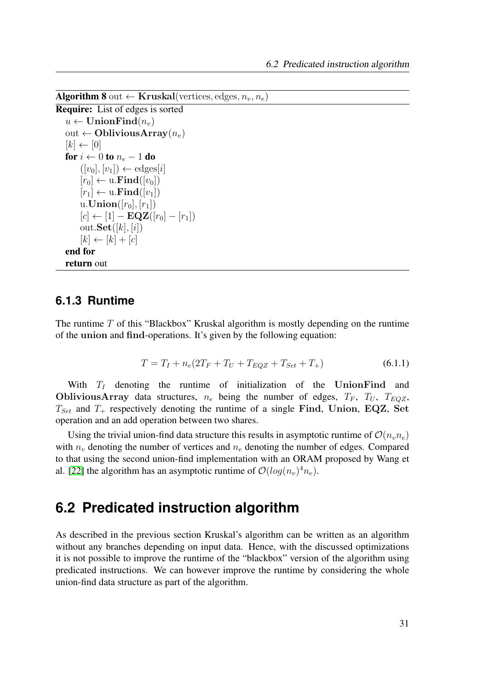Algorithm 8 out  $\leftarrow$  Kruskal(vertices, edges,  $n_v, n_e$ )

```
Require: List of edges is sorted
   u \leftarrow UnionFind(n_v)out ← ObliviousArray(n_v)[k] \leftarrow [0]for i \leftarrow 0 to n_e - 1 do
        ([v_0], [v_1]) \leftarrow edges[i][r_0] \leftarrow u.Find([v_0])[r_1] \leftarrow u \cdot \textbf{Find}([v_1])u.Union([r_0], [r_1])
        [c] \leftarrow [1] - \mathbf{EQZ}([r_0] - [r_1])out.\mathbf{Set}([k],[i])[k] \leftarrow [k] + [c]end for
   return out
```
#### <span id="page-38-0"></span>**6.1.3 Runtime**

The runtime  $T$  of this "Blackbox" Kruskal algorithm is mostly depending on the runtime of the union and find-operations. It's given by the following equation:

$$
T = T_I + n_e(2T_F + T_U + T_{EQZ} + T_{Set} + T_+)
$$
\n(6.1.1)

With  $T_I$  denoting the runtime of initialization of the UnionFind and ObliviousArray data structures,  $n_e$  being the number of edges,  $T_F$ ,  $T_U$ ,  $T_{EOZ}$ ,  $T_{Set}$  and  $T_+$  respectively denoting the runtime of a single Find, Union, EQZ, Set operation and an add operation between two shares.

Using the trivial union-find data structure this results in asymptotic runtime of  $\mathcal{O}(n_v n_e)$ with  $n_v$  denoting the number of vertices and  $n_e$  denoting the number of edges. Compared to that using the second union-find implementation with an ORAM proposed by Wang et al. [\[22\]](#page-51-9) the algorithm has an asymptotic runtime of  $\mathcal{O}(log(n_v)^4 n_e)$ .

#### <span id="page-38-1"></span>**6.2 Predicated instruction algorithm**

As described in the previous section Kruskal's algorithm can be written as an algorithm without any branches depending on input data. Hence, with the discussed optimizations it is not possible to improve the runtime of the "blackbox" version of the algorithm using predicated instructions. We can however improve the runtime by considering the whole union-find data structure as part of the algorithm.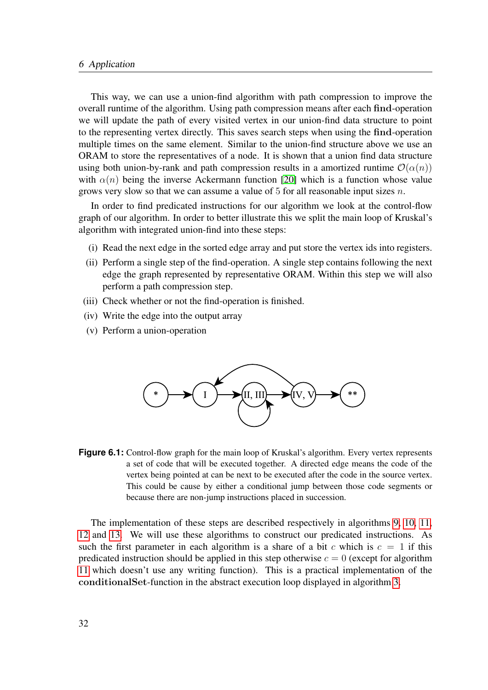This way, we can use a union-find algorithm with path compression to improve the overall runtime of the algorithm. Using path compression means after each find-operation we will update the path of every visited vertex in our union-find data structure to point to the representing vertex directly. This saves search steps when using the find-operation multiple times on the same element. Similar to the union-find structure above we use an ORAM to store the representatives of a node. It is shown that a union find data structure using both union-by-rank and path compression results in a amortized runtime  $\mathcal{O}(\alpha(n))$ with  $\alpha(n)$  being the inverse Ackermann function [\[20\]](#page-51-10) which is a function whose value grows very slow so that we can assume a value of  $5$  for all reasonable input sizes  $n$ .

In order to find predicated instructions for our algorithm we look at the control-flow graph of our algorithm. In order to better illustrate this we split the main loop of Kruskal's algorithm with integrated union-find into these steps:

- (i) Read the next edge in the sorted edge array and put store the vertex ids into registers.
- (ii) Perform a single step of the find-operation. A single step contains following the next edge the graph represented by representative ORAM. Within this step we will also perform a path compression step.
- (iii) Check whether or not the find-operation is finished.
- (iv) Write the edge into the output array
- (v) Perform a union-operation

<span id="page-39-0"></span>

**Figure 6.1:** Control-flow graph for the main loop of Kruskal's algorithm. Every vertex represents a set of code that will be executed together. A directed edge means the code of the vertex being pointed at can be next to be executed after the code in the source vertex. This could be cause by either a conditional jump between those code segments or because there are non-jump instructions placed in succession.

The implementation of these steps are described respectively in algorithms [9,](#page-40-0) [10,](#page-41-0) [11,](#page-41-1) [12](#page-41-2) and [13.](#page-41-3) We will use these algorithms to construct our predicated instructions. As such the first parameter in each algorithm is a share of a bit c which is  $c = 1$  if this predicated instruction should be applied in this step otherwise  $c = 0$  (except for algorithm [11](#page-41-1) which doesn't use any writing function). This is a practical implementation of the conditionalSet-function in the abstract execution loop displayed in algorithm [3.](#page-23-0)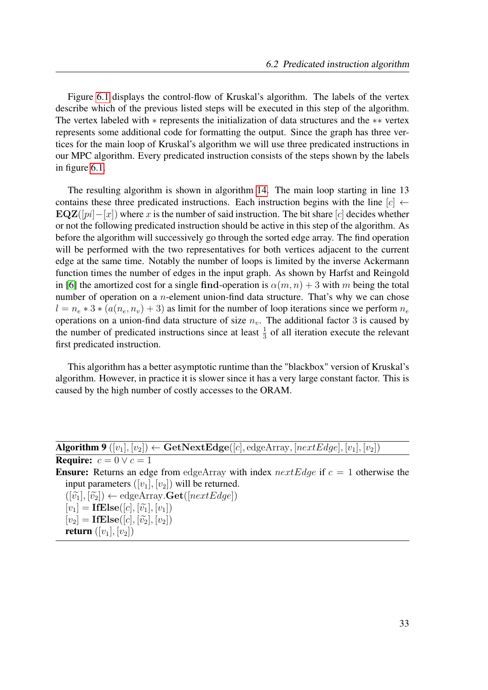Figure [6.1](#page-39-0) displays the control-flow of Kruskal's algorithm. The labels of the vertex describe which of the previous listed steps will be executed in this step of the algorithm. The vertex labeled with ∗ represents the initialization of data structures and the ∗∗ vertex represents some additional code for formatting the output. Since the graph has three vertices for the main loop of Kruskal's algorithm we will use three predicated instructions in our MPC algorithm. Every predicated instruction consists of the steps shown by the labels in figure [6.1.](#page-39-0)

The resulting algorithm is shown in algorithm [14.](#page-42-0) The main loop starting in line 13 contains these three predicated instructions. Each instruction begins with the line  $[c] \leftarrow$  $\mathbf{EQZ}([pi]-[x])$  where x is the number of said instruction. The bit share [c] decides whether or not the following predicated instruction should be active in this step of the algorithm. As before the algorithm will successively go through the sorted edge array. The find operation will be performed with the two representatives for both vertices adjacent to the current edge at the same time. Notably the number of loops is limited by the inverse Ackermann function times the number of edges in the input graph. As shown by Harfst and Reingold in [\[6\]](#page-50-11) the amortized cost for a single find-operation is  $\alpha(m, n) + 3$  with m being the total number of operation on a *n*-element union-find data structure. That's why we can chose  $l = n_e * 3 * (a(n_e, n_v) + 3)$  as limit for the number of loop iterations since we perform  $n_e$ operations on a union-find data structure of size  $n_v$ . The additional factor 3 is caused by the number of predicated instructions since at least  $\frac{1}{3}$  of all iteration execute the relevant first predicated instruction.

This algorithm has a better asymptotic runtime than the "blackbox" version of Kruskal's algorithm. However, in practice it is slower since it has a very large constant factor. This is caused by the high number of costly accesses to the ORAM.

<span id="page-40-0"></span>

| <b>Algorithm 9</b> $([v_1], [v_2]) \leftarrow \textbf{GetNextEdge}([c], \text{edgeArray}, [nextEdge], [v_1], [v_2])$ |
|----------------------------------------------------------------------------------------------------------------------|
| <b>Require:</b> $c = 0 \vee c = 1$                                                                                   |
| <b>Ensure:</b> Returns an edge from edgeArray with index $nextEdge$ if $c = 1$ otherwise the                         |
| input parameters $([v_1], [v_2])$ will be returned.                                                                  |
| $([\widetilde{v_1}], [\widetilde{v_2}]) \leftarrow \text{edgeArray}.\textbf{Get}([nextEdge])$                        |
| $[v_1] = \textbf{IfElse}([c], [\widetilde{v_1}], [v_1])$                                                             |
| $[v_2] = \textbf{IfElse}([c], [\widetilde{v_2}], [v_2])$                                                             |
| <b>return</b> ([ $v_1$ ], [ $v_2$ ])                                                                                 |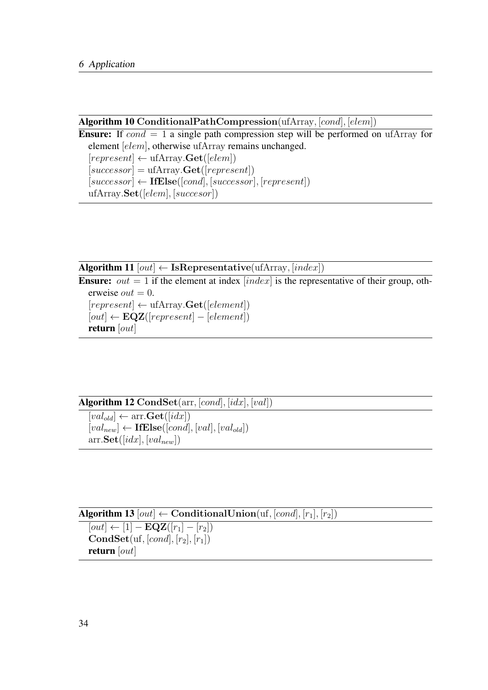#### Algorithm 10 ConditionalPathCompression(ufArray, [cond], [elem])

<span id="page-41-0"></span>**Ensure:** If  $cond = 1$  a single path compression step will be performed on ufArray for element [elem], otherwise ufArray remains unchanged.  $[represent] \leftarrow \text{ufArray}.\textbf{Get}([elem])$  $[successor] = \text{ufArray}.\textbf{Get}([represent])$  $[successor] \leftarrow \text{IfElse}([cond], [successor], [represent])$ ufArray.Set([elem], [succesor])

Algorithm 11  $[out] \leftarrow$  IsRepresentative(ufArray,  $[index]$ )

<span id="page-41-1"></span>**Ensure:**  $out = 1$  if the element at index [index] is the representative of their group, otherweise  $out = 0$ .  $[represent] \leftarrow \text{ufArray}.\textbf{Get}([element])$  $[out] \leftarrow \mathbf{EQZ}([represent] - [element])$ return [out]

#### Algorithm 12 CondSet $(\text{arr}, [cond], [idx], [val])$

<span id="page-41-2"></span> $[val_{old}] \leftarrow \text{arr}.\mathbf{Get}([idx])$  $[val_{new}] \leftarrow \mathbf{IfElse}([cond], [val], [val_{old}])$ arr. $\textbf{Set}([idx], [val_{new}])$ 

| <b>Algorithm 13</b> $[out] \leftarrow$ Conditional Union(uf, $[cond], [r_1], [r_2]$ ) |  |  |  |  |  |
|---------------------------------------------------------------------------------------|--|--|--|--|--|
|---------------------------------------------------------------------------------------|--|--|--|--|--|

<span id="page-41-3"></span> $[out] \leftarrow [1] - \mathbf{EQZ}([r_1] - [r_2])$ CondSet $(\mathrm{uf}, [cond], [r_2], [r_1])$ return [out]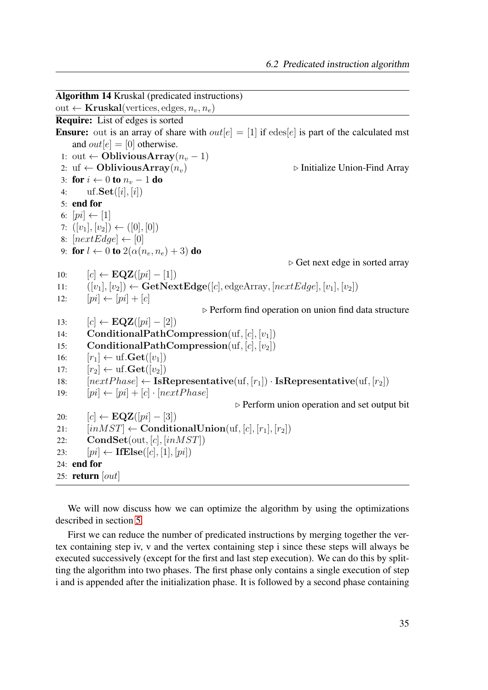<span id="page-42-0"></span>

| <b>Algorithm 14 Kruskal (predicated instructions)</b>                                                                         |  |
|-------------------------------------------------------------------------------------------------------------------------------|--|
| out $\leftarrow$ <b>Kruskal</b> (vertices, edges, $n_v, n_e$ )                                                                |  |
| <b>Require:</b> List of edges is sorted                                                                                       |  |
| <b>Ensure:</b> out is an array of share with $out[e] = [1]$ if edes e is part of the calculated mst                           |  |
| and $out[e] = [0]$ otherwise.                                                                                                 |  |
| 1: out $\leftarrow$ Oblivious Array $(n_v - 1)$                                                                               |  |
| 2: uf $\leftarrow$ Oblivious Array $(n_v)$<br>$\triangleright$ Initialize Union-Find Array                                    |  |
| 3: for $i \leftarrow 0$ to $n_v - 1$ do                                                                                       |  |
| $\text{uf}.\mathbf{Set}([i],[i])$<br>4:                                                                                       |  |
| 5: end for                                                                                                                    |  |
| 6: $[pi] \leftarrow [1]$                                                                                                      |  |
| 7: $([v_1], [v_2]) \leftarrow ([0], [0])$                                                                                     |  |
| 8: $[nextEdge] \leftarrow [0]$                                                                                                |  |
| 9: for $l \leftarrow 0$ to $2(\alpha(n_e, n_e) + 3)$ do                                                                       |  |
| $\triangleright$ Get next edge in sorted array                                                                                |  |
| $[c] \leftarrow \mathbf{EQZ}([pi] - [1])$<br>10:                                                                              |  |
| $([v_1],[v_2]) \leftarrow \textbf{GetNextEdge}([c],\text{edgeArray},[nextEdge],[v_1],[v_2])$<br>11:                           |  |
| $[pi] \leftarrow [pi] + [c]$<br>12:                                                                                           |  |
| $\triangleright$ Perform find operation on union find data structure                                                          |  |
| $[c] \leftarrow \mathbf{EQZ}([pi] - [2])$<br>13:                                                                              |  |
| ConditionalPathCompression(uf, $[c], [v_1]$ )<br>14:                                                                          |  |
| ConditionalPathCompression(uf, $[c], [v_2]$ )<br>15:                                                                          |  |
| $[r_1] \leftarrow \text{uf.Get}([v_1])$<br>16:                                                                                |  |
| $[r_2] \leftarrow \text{uf.Get}([v_2])$<br>17:                                                                                |  |
| $[nextPhase] \leftarrow \mathbf{IsRepresentative}(\text{uf}, [r_1]) \cdot \mathbf{IsRepresentative}(\text{uf}, [r_2])$<br>18: |  |
| $[pi] \leftarrow [pi] + [c] \cdot [nextPhase]$<br>19:                                                                         |  |
| $\triangleright$ Perform union operation and set output bit                                                                   |  |
| $[c] \leftarrow \mathbf{EQZ}([pi] - [3])$<br>20:                                                                              |  |
| $[inMST] \leftarrow \textbf{ConditionalUnion}(\text{uf}, [c], [r_1], [r_2])$<br>21:                                           |  |
| $\text{CondSet}(\text{out}, [c], [inMST])$<br>22:                                                                             |  |
| $[pi] \leftarrow \textbf{IfElse}([c], [1], [pi])$<br>23:<br>$24:$ end for                                                     |  |
|                                                                                                                               |  |
| 25: $return$ [ <i>out</i> ]                                                                                                   |  |

We will now discuss how we can optimize the algorithm by using the optimizations described in section [5.](#page-26-0)

First we can reduce the number of predicated instructions by merging together the vertex containing step iv, v and the vertex containing step i since these steps will always be executed successively (except for the first and last step execution). We can do this by splitting the algorithm into two phases. The first phase only contains a single execution of step i and is appended after the initialization phase. It is followed by a second phase containing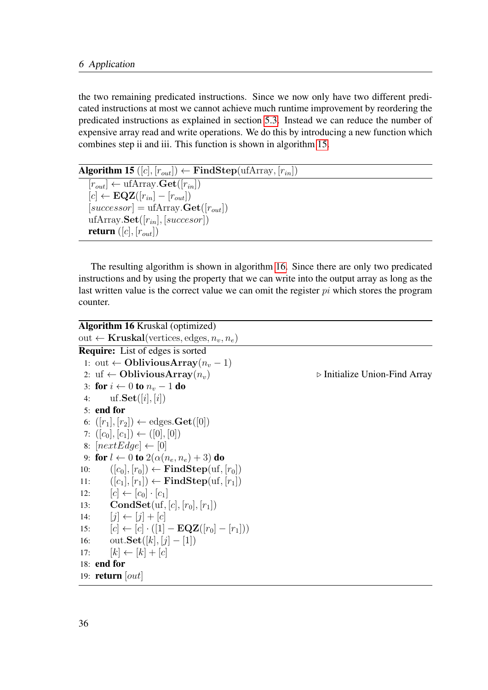the two remaining predicated instructions. Since we now only have two different predicated instructions at most we cannot achieve much runtime improvement by reordering the predicated instructions as explained in section [5.3.](#page-29-0) Instead we can reduce the number of expensive array read and write operations. We do this by introducing a new function which combines step ii and iii. This function is shown in algorithm [15.](#page-43-0)

Algorithm 15  $([c], [r_{out}]) \leftarrow$  FindStep(ufArray,  $[r_{in}])$ 

```
[r_{out}] \leftarrow \text{ufArray}.\textbf{Get}([r_{in}])[c] \leftarrow \mathbf{EQZ}([r_{in}] - [r_{out}])[successor] = \text{ufArray}.\textbf{Get}([r_{out}])ufArray.Set([r_{in}], [successor])return ([c], [r_{out}])
```
The resulting algorithm is shown in algorithm [16.](#page-43-1) Since there are only two predicated instructions and by using the property that we can write into the output array as long as the last written value is the correct value we can omit the register  $pi$  which stores the program counter.

<span id="page-43-1"></span>

|     | <b>Algorithm 16</b> Kruskal (optimized)                             |                                              |
|-----|---------------------------------------------------------------------|----------------------------------------------|
|     | out $\leftarrow$ <b>Kruskal</b> (vertices, edges, $n_v, n_e$ )      |                                              |
|     | <b>Require:</b> List of edges is sorted                             |                                              |
|     | 1: out $\leftarrow$ Oblivious Array $(n_v - 1)$                     |                                              |
|     | 2: uf $\leftarrow$ Oblivious Array $(n_v)$                          | $\triangleright$ Initialize Union-Find Array |
|     | 3: for $i \leftarrow 0$ to $n_v - 1$ do                             |                                              |
| 4:  | $\text{uf}.\mathbf{Set}([i],[i])$                                   |                                              |
|     | $5:$ end for                                                        |                                              |
|     | 6: $([r_1], [r_2]) \leftarrow edges \cdot \text{Get}([0])$          |                                              |
|     | 7: $([c_0], [c_1]) \leftarrow ([0], [0])$                           |                                              |
|     | 8: $[nextEdge] \leftarrow [0]$                                      |                                              |
|     | 9: for $l \leftarrow 0$ to $2(\alpha(n_e, n_e) + 3)$ do             |                                              |
| 10: | $([c_0], [r_0]) \leftarrow$ FindStep(uf, $[r_0]$ )                  |                                              |
|     | 11: $([c_1], [r_1]) \leftarrow \textbf{FindStep}(\text{uf}, [r_1])$ |                                              |
|     | 12: $[c] \leftarrow [c_0] \cdot [c_1]$                              |                                              |
|     | 13: <b>CondSet</b> (uf, $[c]$ , $[r_0]$ , $[r_1]$ )                 |                                              |
|     | 14: $[j] \leftarrow [j] + [c]$                                      |                                              |
|     | 15: $[c] \leftarrow [c] \cdot ([1] - \mathbf{EQZ}([r_0] - [r_1]))$  |                                              |
|     | 16: out.Set([k], $[j] - [1]$ )                                      |                                              |
| 17: | $[k] \leftarrow [k] + [c]$                                          |                                              |
|     | $18:$ end for                                                       |                                              |
|     | 19: <b>return</b> $\vert out \vert$                                 |                                              |
|     |                                                                     |                                              |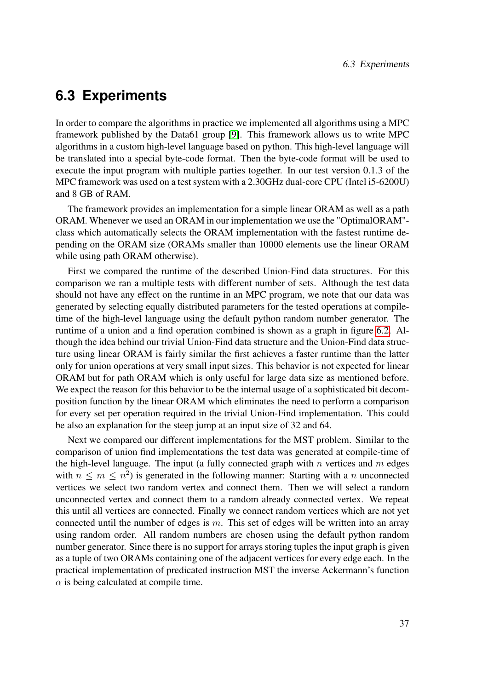#### <span id="page-44-0"></span>**6.3 Experiments**

In order to compare the algorithms in practice we implemented all algorithms using a MPC framework published by the Data61 group [\[9\]](#page-50-12). This framework allows us to write MPC algorithms in a custom high-level language based on python. This high-level language will be translated into a special byte-code format. Then the byte-code format will be used to execute the input program with multiple parties together. In our test version 0.1.3 of the MPC framework was used on a test system with a 2.30GHz dual-core CPU (Intel i5-6200U) and 8 GB of RAM.

The framework provides an implementation for a simple linear ORAM as well as a path ORAM. Whenever we used an ORAM in our implementation we use the "OptimalORAM" class which automatically selects the ORAM implementation with the fastest runtime depending on the ORAM size (ORAMs smaller than 10000 elements use the linear ORAM while using path ORAM otherwise).

First we compared the runtime of the described Union-Find data structures. For this comparison we ran a multiple tests with different number of sets. Although the test data should not have any effect on the runtime in an MPC program, we note that our data was generated by selecting equally distributed parameters for the tested operations at compiletime of the high-level language using the default python random number generator. The runtime of a union and a find operation combined is shown as a graph in figure [6.2.](#page-45-0) Although the idea behind our trivial Union-Find data structure and the Union-Find data structure using linear ORAM is fairly similar the first achieves a faster runtime than the latter only for union operations at very small input sizes. This behavior is not expected for linear ORAM but for path ORAM which is only useful for large data size as mentioned before. We expect the reason for this behavior to be the internal usage of a sophisticated bit decomposition function by the linear ORAM which eliminates the need to perform a comparison for every set per operation required in the trivial Union-Find implementation. This could be also an explanation for the steep jump at an input size of 32 and 64.

Next we compared our different implementations for the MST problem. Similar to the comparison of union find implementations the test data was generated at compile-time of the high-level language. The input (a fully connected graph with n vertices and  $m$  edges with  $n \leq m \leq n^2$ ) is generated in the following manner: Starting with a n unconnected vertices we select two random vertex and connect them. Then we will select a random unconnected vertex and connect them to a random already connected vertex. We repeat this until all vertices are connected. Finally we connect random vertices which are not yet connected until the number of edges is  $m$ . This set of edges will be written into an array using random order. All random numbers are chosen using the default python random number generator. Since there is no support for arrays storing tuples the input graph is given as a tuple of two ORAMs containing one of the adjacent vertices for every edge each. In the practical implementation of predicated instruction MST the inverse Ackermann's function  $\alpha$  is being calculated at compile time.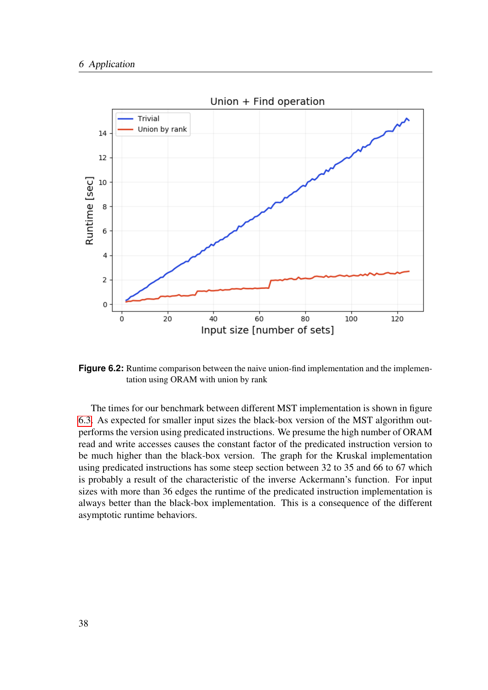

<span id="page-45-0"></span>**Figure 6.2:** Runtime comparison between the naive union-find implementation and the implementation using ORAM with union by rank

The times for our benchmark between different MST implementation is shown in figure [6.3.](#page-46-0) As expected for smaller input sizes the black-box version of the MST algorithm outperforms the version using predicated instructions. We presume the high number of ORAM read and write accesses causes the constant factor of the predicated instruction version to be much higher than the black-box version. The graph for the Kruskal implementation using predicated instructions has some steep section between 32 to 35 and 66 to 67 which is probably a result of the characteristic of the inverse Ackermann's function. For input sizes with more than 36 edges the runtime of the predicated instruction implementation is always better than the black-box implementation. This is a consequence of the different asymptotic runtime behaviors.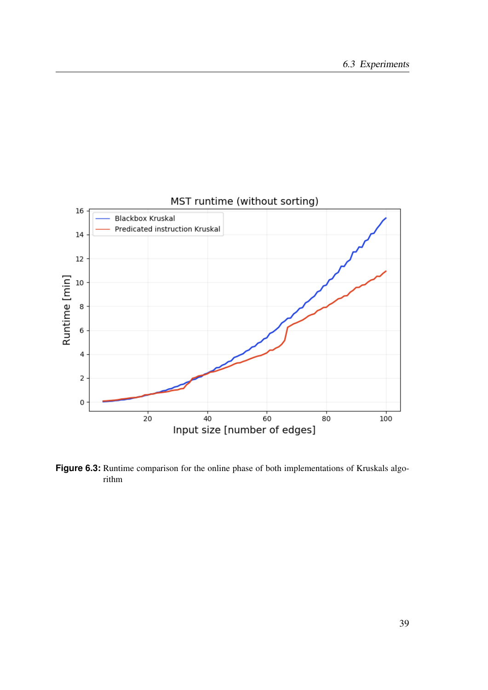

<span id="page-46-0"></span>Figure 6.3: Runtime comparison for the online phase of both implementations of Kruskals algorithm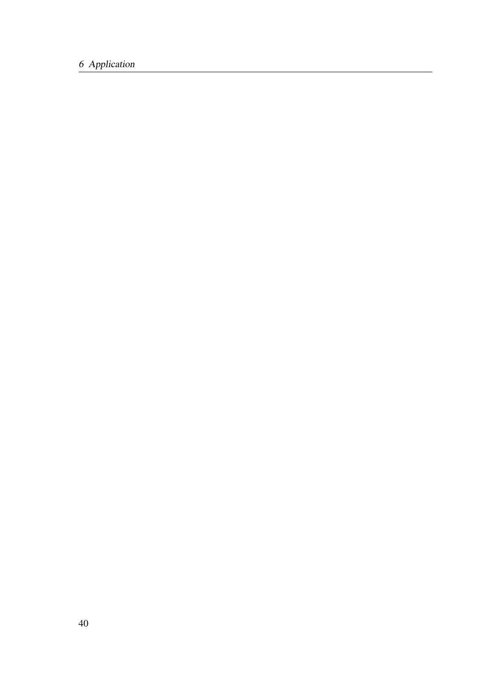6 Application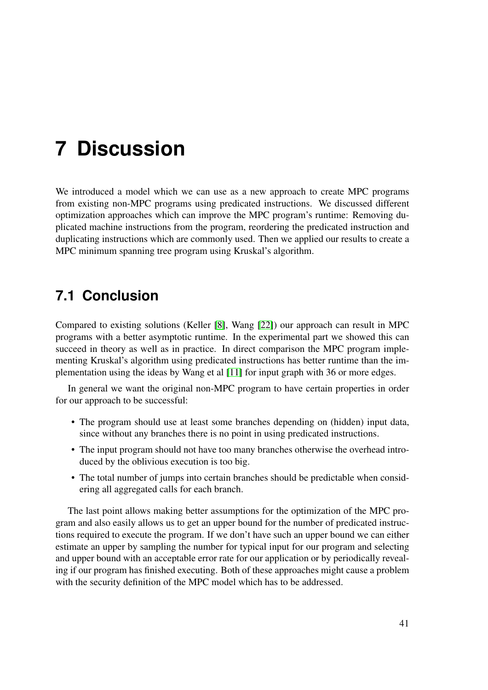# <span id="page-48-0"></span>**7 Discussion**

We introduced a model which we can use as a new approach to create MPC programs from existing non-MPC programs using predicated instructions. We discussed different optimization approaches which can improve the MPC program's runtime: Removing duplicated machine instructions from the program, reordering the predicated instruction and duplicating instructions which are commonly used. Then we applied our results to create a MPC minimum spanning tree program using Kruskal's algorithm.

### <span id="page-48-1"></span>**7.1 Conclusion**

Compared to existing solutions (Keller [\[8\]](#page-50-2), Wang [\[22\]](#page-51-9)) our approach can result in MPC programs with a better asymptotic runtime. In the experimental part we showed this can succeed in theory as well as in practice. In direct comparison the MPC program implementing Kruskal's algorithm using predicated instructions has better runtime than the implementation using the ideas by Wang et al [\[11\]](#page-50-7) for input graph with 36 or more edges.

In general we want the original non-MPC program to have certain properties in order for our approach to be successful:

- The program should use at least some branches depending on (hidden) input data, since without any branches there is no point in using predicated instructions.
- The input program should not have too many branches otherwise the overhead introduced by the oblivious execution is too big.
- The total number of jumps into certain branches should be predictable when considering all aggregated calls for each branch.

The last point allows making better assumptions for the optimization of the MPC program and also easily allows us to get an upper bound for the number of predicated instructions required to execute the program. If we don't have such an upper bound we can either estimate an upper by sampling the number for typical input for our program and selecting and upper bound with an acceptable error rate for our application or by periodically revealing if our program has finished executing. Both of these approaches might cause a problem with the security definition of the MPC model which has to be addressed.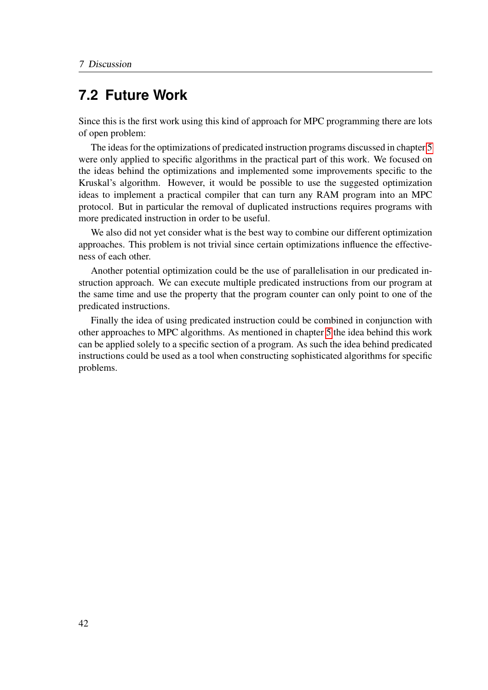#### <span id="page-49-0"></span>**7.2 Future Work**

Since this is the first work using this kind of approach for MPC programming there are lots of open problem:

The ideas for the optimizations of predicated instruction programs discussed in chapter [5](#page-26-0) were only applied to specific algorithms in the practical part of this work. We focused on the ideas behind the optimizations and implemented some improvements specific to the Kruskal's algorithm. However, it would be possible to use the suggested optimization ideas to implement a practical compiler that can turn any RAM program into an MPC protocol. But in particular the removal of duplicated instructions requires programs with more predicated instruction in order to be useful.

We also did not yet consider what is the best way to combine our different optimization approaches. This problem is not trivial since certain optimizations influence the effectiveness of each other.

Another potential optimization could be the use of parallelisation in our predicated instruction approach. We can execute multiple predicated instructions from our program at the same time and use the property that the program counter can only point to one of the predicated instructions.

Finally the idea of using predicated instruction could be combined in conjunction with other approaches to MPC algorithms. As mentioned in chapter [5](#page-26-0) the idea behind this work can be applied solely to a specific section of a program. As such the idea behind predicated instructions could be used as a tool when constructing sophisticated algorithms for specific problems.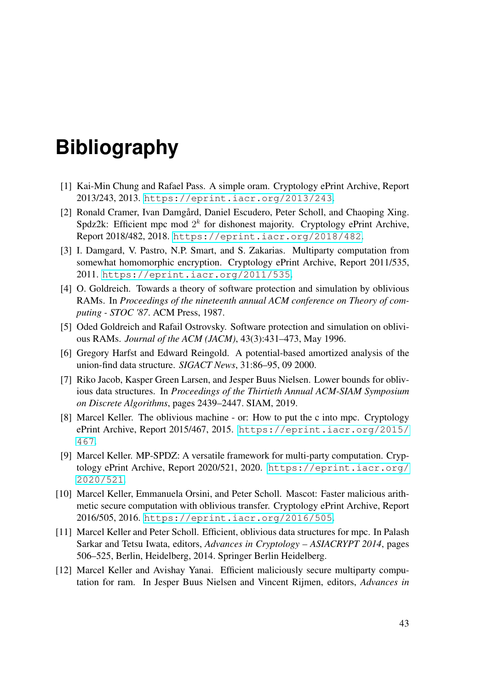## <span id="page-50-0"></span>**Bibliography**

- <span id="page-50-5"></span>[1] Kai-Min Chung and Rafael Pass. A simple oram. Cryptology ePrint Archive, Report 2013/243, 2013. <https://eprint.iacr.org/2013/243>.
- <span id="page-50-3"></span>[2] Ronald Cramer, Ivan Damgård, Daniel Escudero, Peter Scholl, and Chaoping Xing. Spdz2k: Efficient mpc mod  $2^k$  for dishonest majority. Cryptology ePrint Archive, Report 2018/482, 2018. <https://eprint.iacr.org/2018/482>.
- <span id="page-50-8"></span>[3] I. Damgard, V. Pastro, N.P. Smart, and S. Zakarias. Multiparty computation from somewhat homomorphic encryption. Cryptology ePrint Archive, Report 2011/535, 2011. <https://eprint.iacr.org/2011/535>.
- <span id="page-50-4"></span>[4] O. Goldreich. Towards a theory of software protection and simulation by oblivious RAMs. In *Proceedings of the nineteenth annual ACM conference on Theory of computing - STOC '87*. ACM Press, 1987.
- <span id="page-50-6"></span>[5] Oded Goldreich and Rafail Ostrovsky. Software protection and simulation on oblivious RAMs. *Journal of the ACM (JACM)*, 43(3):431–473, May 1996.
- <span id="page-50-11"></span>[6] Gregory Harfst and Edward Reingold. A potential-based amortized analysis of the union-find data structure. *SIGACT News*, 31:86–95, 09 2000.
- <span id="page-50-10"></span>[7] Riko Jacob, Kasper Green Larsen, and Jesper Buus Nielsen. Lower bounds for oblivious data structures. In *Proceedings of the Thirtieth Annual ACM-SIAM Symposium on Discrete Algorithms*, pages 2439–2447. SIAM, 2019.
- <span id="page-50-2"></span>[8] Marcel Keller. The oblivious machine - or: How to put the c into mpc. Cryptology ePrint Archive, Report 2015/467, 2015. [https://eprint.iacr.org/2015/](https://eprint.iacr.org/2015/467) [467](https://eprint.iacr.org/2015/467).
- <span id="page-50-12"></span>[9] Marcel Keller. MP-SPDZ: A versatile framework for multi-party computation. Cryptology ePrint Archive, Report 2020/521, 2020. [https://eprint.iacr.org/](https://eprint.iacr.org/2020/521) [2020/521](https://eprint.iacr.org/2020/521).
- <span id="page-50-9"></span>[10] Marcel Keller, Emmanuela Orsini, and Peter Scholl. Mascot: Faster malicious arithmetic secure computation with oblivious transfer. Cryptology ePrint Archive, Report 2016/505, 2016. <https://eprint.iacr.org/2016/505>.
- <span id="page-50-7"></span>[11] Marcel Keller and Peter Scholl. Efficient, oblivious data structures for mpc. In Palash Sarkar and Tetsu Iwata, editors, *Advances in Cryptology – ASIACRYPT 2014*, pages 506–525, Berlin, Heidelberg, 2014. Springer Berlin Heidelberg.
- <span id="page-50-1"></span>[12] Marcel Keller and Avishay Yanai. Efficient maliciously secure multiparty computation for ram. In Jesper Buus Nielsen and Vincent Rijmen, editors, *Advances in*